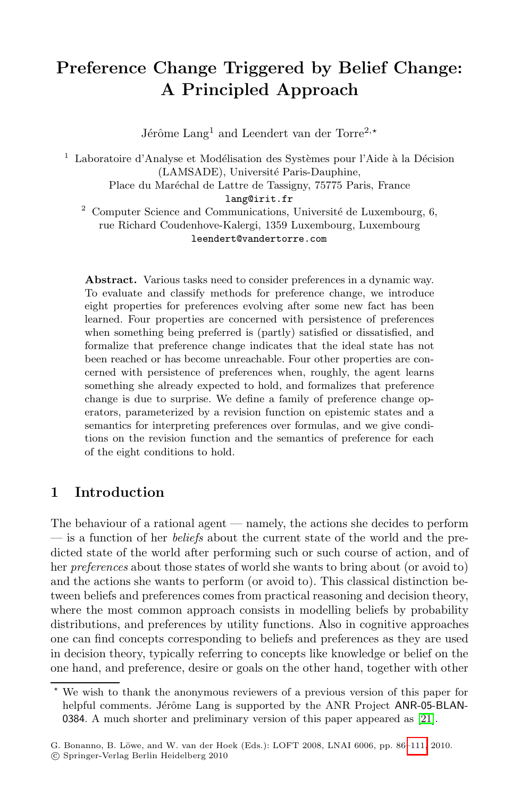# **Preference Change Triggered by Belief Change: A Principled Approach**

Jérôme Lang<sup>1</sup> and Leendert van der Torre<sup>2,\*</sup>

 $1$  Laboratoire d'Analyse et Modélisation des Systèmes pour l'Aide à la Décision (LAMSADE), Université Paris-Dauphine, Place du Maréchal de Lattre de Tassigny, 75775 Paris, France

lang@irit.fr

 $2$  Computer Science and Communications, Université de Luxembourg, 6, rue Richard Coudenhove-Kalergi, 1359 Luxembourg, Luxembourg leendert@vandertorre.com

<span id="page-0-0"></span>**Abstract.** Various tasks need to consider preferences in a dynamic way. To evaluate and classify methods for preference change, we introduce eight properties for preferences evolving after some new fact has been learned. Four properties are concerned with persistence of preferences when something being preferred is (partly) satisfied or dissatisfied, and formalize that preference change indicates that the ideal state has not been reached or has become unreachable. Four other properties are concerned with persistence of preferences when, roughly, the agent learns something she already expected to hold, and formalizes that preference change is due to surprise. We define a family of preference change operators, parameterized by a revision function on epistemic states and a semantics for interpreting preferences over formulas, and we give conditions on the revision function and the semantics of preference for each of the eight conditions to hold.

# **1 Introduction**

The behaviour of a rational agent — namely, the actions she decides to perform — is a function of her *beliefs* about the current state of the world and the predicted state of the world after performing such or such course of action, and of her *preferences* about those states of world she wants to bring about (or avoid to) and the actions she wants to perform (or avoid to). This classical distinction between beliefs and preferences comes from practical reasoning and decision theory, where the most common approach consists in mo[dell](#page-25-0)ing beliefs by probability distributions, and preferences by utility functions. Also in cognitive approaches one can find concepts corresponding to beliefs a[nd pr](#page-25-1)eferences as they are used in decision theory, typically referring to concepts like knowledge or belief on the one hand, and preference, desire or goals on the other hand, together with other

 $\star$  We wish to thank the anonymous reviewers of a previous version of this paper for helpful comments. Jérôme Lang is supported by the ANR Project ANR-05-BLAN-0384. A much shorter and preliminary version of this paper appeared as [21].

G. Bonanno, B. Löwe, and W. van der Hoek (Eds.): LOFT 2008, LNAI 6006, pp. 86-111, 2010. -c Springer-Verlag Berlin Heidelberg 2010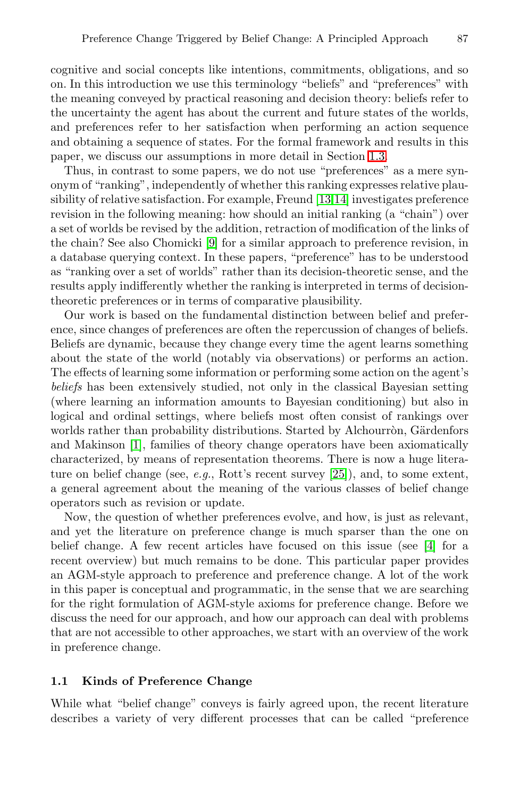cognitive and social concepts like intentions, commitments, obligations, and so on. In this introduction we use t[his](#page-25-2) [ter](#page-25-3)minology "beliefs" and "preferences" with the meaning conveyed by practical reasoning and decision theory: beliefs refer to the uncertainty the agent has about the current and future states of the worlds, and prefer[en](#page-24-0)ces refer to her satisfaction when performing an action sequence and obtaining a sequence of states. For the formal framework and results in this paper, we discuss our assumptions in more detail in Section 1.3.

Thus, in contrast to some papers, we do not use "preferences" as a mere synonym of "ranking", independently of whether this ranking expresses relative plausibility of relative satisfaction. For example, Freund [13,14] investigates preference revision in the following meaning: how should an initial ranking (a "chain") over a set of worlds be revised by the addition, retraction of modification of the links of the chain? See also Chomicki [9] for a similar approach to preference revision, in a database querying context. In these papers, "preference" has to be understood as "ranking over a set of worlds" rather than its decision-theoretic sense, and the results apply indifferently whether the ranking is interpreted in terms of decisiontheoretic preferences or in terms of comparative plausibility.

Our work is based on the fundamental distinction between belief and preference, since changes of preferences are often the repercussion of changes of beliefs. Beliefs are dynamic, because they change every time the agent learns something about the state of the world (not[ably](#page-25-4) via observations) or performs an action. The effects of learning some information or performing some action on the agent's *beliefs* has been extensively studied, not only in the classical Bayesian setting (where learning an information amounts to Bayesian conditioning) but also in logical and ordinal settings, where beliefs most often consist of rankings over worlds rather than probability distributions. Started [b](#page-24-1)y Alchourron, Gärdenfors and Makinson [1], families of theory change operators have been axiomatically characterized, by means of representation theorems. There is now a huge literature on belief change (see, *e.g.*, Rott's recent survey [25]), and, to some extent, a general agreement about the meaning of the various classes of belief change operators such as revision or update.

Now, the question of whether preferences evolve, and how, is just as relevant, and yet the literature on preference change is much sparser than the one on belief change. A few recent articles have focused on this issue (see [4] for a recent overview) but much remains to be done. This particular paper provides an AGM-style approach to preference and preference change. A lot of the work in this paper is conceptual and programmatic, in the sense that we are searching for the right formulation of AGM-style axioms for preference change. Before we discuss the need for our approach, and how our approach can deal with problems that are not accessible to other approaches, we start with an overview of the work in preference change.

# **1.1 Kinds of Preference Change**

While what "belief change" conveys is fairly agreed upon, the recent literature describes a variety of very different processes that can be called "preference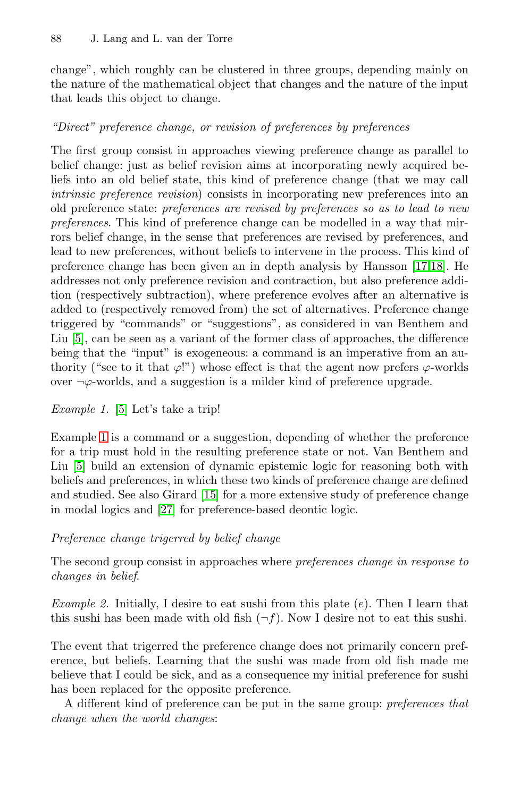change", which roughly can be clustered in three groups, depending mainly on the nature of the mathematical object that changes and the nature of the input that leads this object to change.

# *"Direct" preference change, or revision of preferences by preferences*

The first group consist in approaches viewing pr[efer](#page-25-5)[enc](#page-25-6)e change as parallel to belief change: just as belief revision aims at incorporating newly acquired beliefs into an old belief state, this kind of preference change (that we may call *intrinsic preference revision*) consists in incorporating new preferences into an old preference state: *preferences are revised by preferences so as to lead to new preferences*. This kind of preference change can be modelled in a way that mirrors belief change, in the sense that preferences are revised by preferences, and lead to new preferences, without beliefs to intervene in the process. This kind of preference change has been given an in depth analysis by Hansson [17,18]. He addresses not only preference revision and contraction, but also preference addition (respectively subtraction), where preference evolves after an alternative is added to (respectively removed from) the set of alternatives. Preference change triggered by "commands" or "suggestions", as considered in van Benthem and Liu [5], can be seen as a variant of the former class of approaches, the difference being that the "input" is exogeneous: a command is an imperative from an authority ("see to it that  $\varphi$ !") whose effect is that the agent now prefers  $\varphi$ -worlds over ¬ϕ-[worl](#page-25-7)ds, and a suggestion is a milder kind of preference upgrade.

# *Example 1.* [5] Let's take a trip!

<span id="page-2-0"></span>Example 1 is a command or a suggestion, depending of whether the preference for a trip must hold in the resulting preference state or not. Van Benthem and Liu [5] build an extension of dynamic epistemic logic for reasoning both with beliefs and preferences, in which these two kinds of preference change are defined and studied. See also Girard [15] for a more extensive study of preference change in modal logics and [27] for preference-based deontic logic.

#### *Preference change trigerred by belief change*

The second group consist in approaches where *preferences change in response to changes in belief*.

*Example 2.* Initially, I desire to eat sushi from this plate (e). Then I learn that this sushi has been made with old fish  $(\neg f)$ . Now I desire not to eat this sushi.

The event that trigerred the preference change does not primarily concern preference, but beliefs. Learning that the sushi was made from old fish made me believe that I could be sick, and as a consequence my initial preference for sushi has been replaced for the opposite preference.

A different kind of preference can be put in the same group: *preferences that change when the world changes*: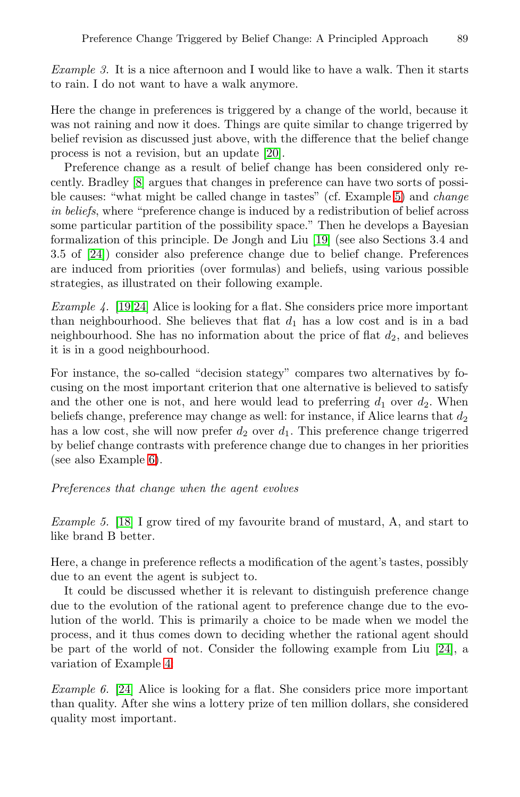*Example 3.* It is a nice afternoon and I would like to have a walk. Then it starts to rain. I do not want to have a walk anymor[e.](#page-3-0)

Here the change in preferences is triggered by a change of the world, because it was not raining and now it doe[s. T](#page-25-9)hings are quite similar to change trigerred by belief revision as discussed just above, with the difference that the belief change process is not a revision, but an update [20].

<span id="page-3-2"></span>Preference change as a result of belief change has been considered only recently. Bradley [8] argues that changes in preference can have two sorts of possible causes: "what might be called change in tastes" (cf. Example 5) and *change in beliefs*, where "preference change is induced by a redistribution of belief across some particular partition of the possibility space." Then he develops a Bayesian formalization of this principle. De Jongh and Liu [19] (see also Sections 3.4 and 3.5 of [24]) consider also preference change due to belief change. Preferences are induced from priorities (over formulas) and beliefs, using various possible strategies, as illustrated on their following example.

*Example 4.* [19,24] Alice is looking for a flat. She considers price more important than neighbourhood. She believes that flat  $d_1$  has a low cost and is in a bad neighbourhood. She has no information about the price of flat  $d_2$ , and believes [it](#page-3-1) is in a good neighbourhood.

<span id="page-3-0"></span>For instance, the so-called "decision stategy" compares two alternatives by focusing on the most important criterion that one alternative is believed to satisfy and the other one is not, and here would lead to preferring  $d_1$  over  $d_2$ . When beliefs change, preference may change as well: for instance, if Alice learns that  $d_2$ has a low cost, she will now prefer  $d_2$  over  $d_1$ . This preference change trigerred by belief change contrasts with preference change due to changes in her priorities (see also Example 6).

### *Preferences that change when the agent evolves*

*Example 5.* [18] I grow tired of my favourite brand of mustard, A, and start to like brand B better.

<span id="page-3-1"></span>H[ere](#page-3-2), a change in preference reflects a modification of the agent's tastes, possibly due to an event the agent is subject to.

It could be discussed whether it is relevant to distinguish preference change due to the evolution of the rational agent to preference change due to the evolution of the world. This is primarily a choice to be made when we model the process, and it thus comes down to deciding whether the rational agent should be part of the world of not. Consider the following example from Liu [24], a variation of Example 4:

*Example 6.* [24] Alice is looking for a flat. She considers price more important than quality. After she wins a lottery prize of ten million dollars, she considered quality most important.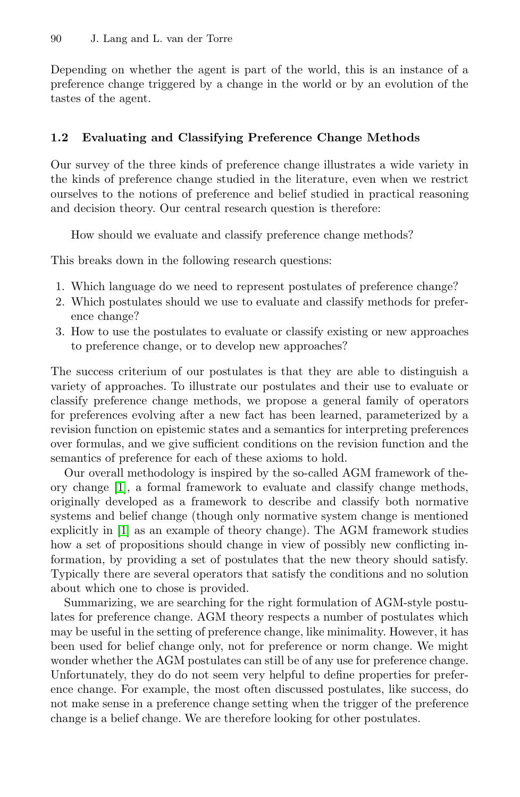Depending on whether the agent is part of the world, this is an instance of a preference change triggered by a change in the world or by an evolution of the tastes of the agent.

### **1.2 Evaluating and Classifying Preference Change Methods**

Our survey of the three kinds of preference change illustrates a wide variety in the kinds of preference change studied in the literature, even when we restrict ourselves to the notions of preference and belief studied in practical reasoning and decision theory. Our central research question is therefore:

How should we evaluate and classify preference change methods?

This breaks down in the following research questions:

- 1. Which language do we need to represent postulates of preference change?
- 2. Which postulates should we use to evaluate and classify methods for preference change?
- 3. How to use the postulates to evaluate or classify existing or new approaches to preference change, or to develop new approaches?

The success criterium of our postulates is that they are able to distinguish a variety of approaches. To illustrate our postulates and their use to evaluate or classify preference change methods, we propose a general family of operators for preferences evolving after a new fact has been learned, parameterized by a revision function on epistemic states and a semantics for interpreting preferences over formulas, and we give sufficient conditions on the revision function and the semantics of preference for each of these axioms to hold.

Our overall methodology is inspired by the so-called AGM framework of theory change [1], a formal framework to evaluate and classify change methods, originally developed as a framework to describe and classify both normative systems and belief change (though only normative system change is mentioned explicitly in [1] as an example of theory change). The AGM framework studies how a set of propositions should change in view of possibly new conflicting information, by providing a set of postulates that the new theory should satisfy. Typically there are several operators that satisfy the conditions and no solution about which one to chose is provided.

Summarizing, we are searching for the right formulation of AGM-style postulates for preference change. AGM theory respects a number of postulates which may be useful in the setting of preference change, like minimality. However, it has been used for belief change only, not for preference or norm change. We might wonder whether the AGM postulates can still be of any use for preference change. Unfortunately, they do do not seem very helpful to define properties for preference change. For example, the most often discussed postulates, like success, do not make sense in a preference change setting when the trigger of the preference change is a belief change. We are therefore looking for other postulates.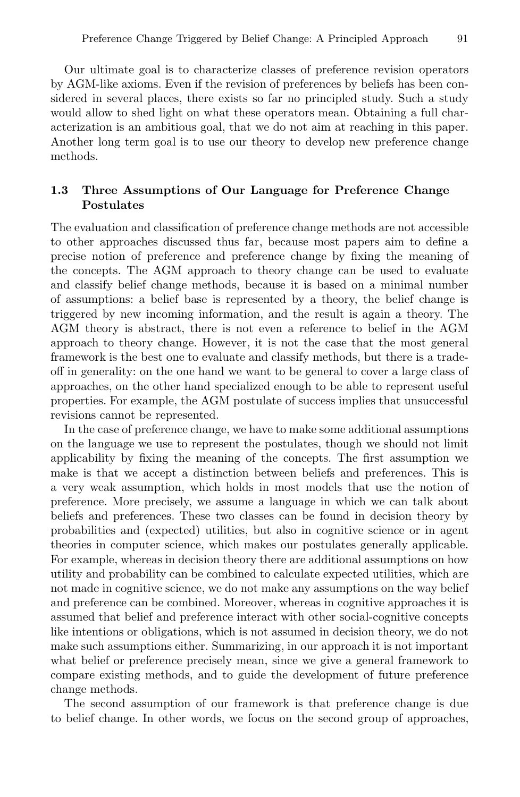Our ultimate goal is to characterize classes of preference revision operators by AGM-like axioms. Even if the revision of preferences by beliefs has been considered in several places, there exists so far no principled study. Such a study would allow to shed light on what these operators mean. Obtaining a full characterization is an ambitious goal, that we do not aim at reaching in this paper. Another long term goal is to use our theory to develop new preference change methods.

# <span id="page-5-0"></span>**1.3 Three Assumptions of Our Language for Preference Change Postulates**

The evaluation and classification of preference change methods are not accessible to other approaches discussed thus far, because most papers aim to define a precise notion of preference and preference change by fixing the meaning of the concepts. The AGM approach to theory change can be used to evaluate and classify belief change methods, because it is based on a minimal number of assumptions: a belief base is represented by a theory, the belief change is triggered by new incoming information, and the result is again a theory. The AGM theory is abstract, there is not even a reference to belief in the AGM approach to theory change. However, it is not the case that the most general framework is the best one to evaluate and classify methods, but there is a tradeoff in generality: on the one hand we want to be general to cover a large class of approaches, on the other hand specialized enough to be able to represent useful properties. For example, the AGM postulate of success implies that unsuccessful revisions cannot be represented.

In the case of preference change, we have to make some additional assumptions on the language we use to represent the postulates, though we should not limit applicability by fixing the meaning of the concepts. The first assumption we make is that we accept a distinction between beliefs and preferences. This is a very weak assumption, which holds in most models that use the notion of preference. More precisely, we assume a language in which we can talk about beliefs and preferences. These two classes can be found in decision theory by probabilities and (expected) utilities, but also in cognitive science or in agent theories in computer science, which makes our postulates generally applicable. For example, whereas in decision theory there are additional assumptions on how utility and probability can be combined to calculate expected utilities, which are not made in cognitive science, we do not make any assumptions on the way belief and preference can be combined. Moreover, whereas in cognitive approaches it is assumed that belief and preference interact with other social-cognitive concepts like intentions or obligations, which is not assumed in decision theory, we do not make such assumptions either. Summarizing, in our approach it is not important what belief or preference precisely mean, since we give a general framework to compare existing methods, and to guide the development of future preference change methods.

The second assumption of our framework is that preference change is due to belief change. In other words, we focus on the second group of approaches,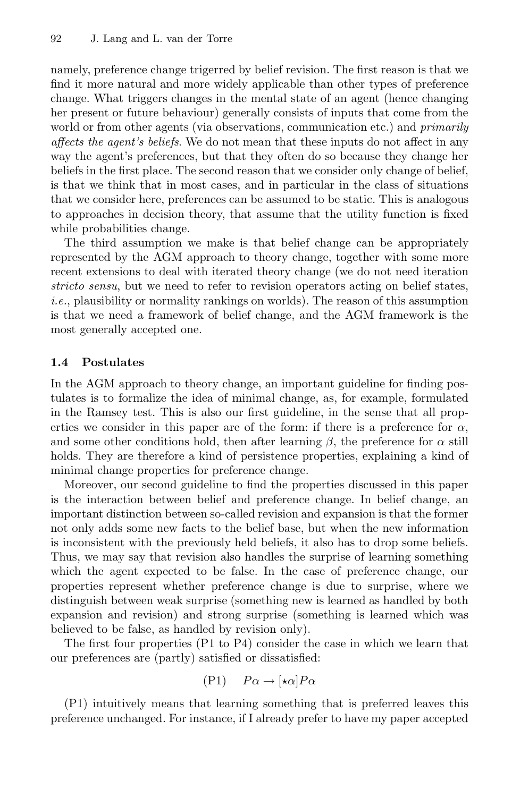namely, preference change trigerred by belief revision. The first reason is that we find it more natural and more widely applicable than other types of preference change. What triggers changes in the mental state of an agent (hence changing her present or future behaviour) generally consists of inputs that come from the world or from other agents (via observations, communication etc.) and *primarily affects the agent's beliefs*. We do not mean that these inputs do not affect in any way the agent's preferences, but that they often do so because they change her beliefs in the first place. The second reason that we consider only change of belief, is that we think that in most cases, and in particular in the class of situations that we consider here, preferences can be assumed to be static. This is analogous to approaches in decision theory, that assume that the utility function is fixed while probabilities change.

The third assumption we make is that belief change can be appropriately represented by the AGM approach to theory change, together with some more recent extensions to deal with iterated theory change (we do not need iteration *stricto sensu*, but we need to refer to revision operators acting on belief states, *i.e.*, plausibility or normality rankings on worlds). The reason of this assumption is that we need a framework of belief change, and the AGM framework is the most generally accepted one.

#### **1.4 Postulates**

In the AGM approach to theory change, an important guideline for finding postulates is to formalize the idea of minimal change, as, for example, formulated in the Ramsey test. This is also our first guideline, in the sense that all properties we consider in this paper are of the form: if there is a preference for  $\alpha$ , and some other conditions hold, then after learning  $\beta$ , the preference for  $\alpha$  still holds. They are therefore a kind of persistence properties, explaining a kind of minimal change properties for preference change.

Moreover, our second guideline to find the properties discussed in this paper is the interaction between belief and preference change. In belief change, an important distinction between so-called revision and expansion is that the former not only adds some new facts to the belief base, but when the new information is inconsistent with the previously held beliefs, it also has to drop some beliefs. Thus, we may say that revision also handles the surprise of learning something which the agent expected to be false. In the case of preference change, our properties represent whether preference change is due to surprise, where we distinguish between weak surprise (something new is learned as handled by both expansion and revision) and strong surprise (something is learned which was believed to be false, as handled by revision only).

The first four properties (P1 to P4) consider the case in which we learn that our preferences are (partly) satisfied or dissatisfied:

$$
(P1) \quad P\alpha \to [\star \alpha] P\alpha
$$

(P1) intuitively means that learning something that is preferred leaves this preference unchanged. For instance, if I already prefer to have my paper accepted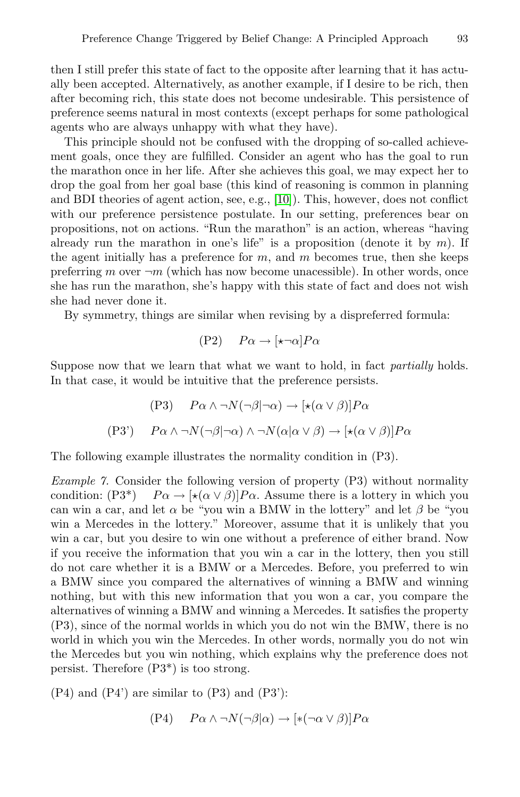then I still prefer this state of fact to the opposite after learning that it has actually been accepted. Alt[erna](#page-24-2)tively, as another example, if I desire to be rich, then after becoming rich, this state does not become undesirable. This persistence of preference seems natural in most contexts (except perhaps for some pathological agents who are always unhappy with what they have).

This principle should not be confused with the dropping of so-called achievement goals, once they are fulfilled. Consider an agent who has the goal to run the marathon once in her life. After she achieves this goal, we may expect her to drop the goal from her goal base (this kind of reasoning is common in planning and BDI theories of agent action, see, e.g., [10]). This, however, does not conflict with our preference persistence postulate. In our setting, preferences bear on propositions, not on actions. "Run the marathon" is an action, whereas "having already run the marathon in one's life" is a proposition (denote it by  $m$ ). If the agent initially has a preference for  $m$ , and  $m$  becomes true, then she keeps preferring m over  $\neg m$  (which has now become unacessible). In other words, once she has run the marathon, she's happy with this state of fact and does not wish she had never done it.

By symmetry, things are similar when revising by a dispreferred formula:

$$
(P2) \quad P\alpha \to [\star \neg \alpha] P\alpha
$$

Suppose now that we learn that what we want to hold, in fact *partially* holds. In that case, it would be intuitive that the preference persists.

$$
(P3) \quad P\alpha \land \neg N(\neg \beta | \neg \alpha) \to [\star(\alpha \lor \beta)]P\alpha
$$
  

$$
(P3') \quad P\alpha \land \neg N(\neg \beta | \neg \alpha) \land \neg N(\alpha | \alpha \lor \beta) \to [\star(\alpha \lor \beta)]P\alpha
$$

The following example illustrates the normality condition in (P3).

*Example 7.* Consider the following version of property (P3) without normality condition:  $(P3^*)$   $P\alpha \rightarrow [\star(\alpha \vee \beta)]P\alpha$ . Assume there is a lottery in which you can win a car, and let  $\alpha$  be "you win a BMW in the lottery" and let  $\beta$  be "you win a Mercedes in the lottery." Moreover, assume that it is unlikely that you win a car, but you desire to win one without a preference of either brand. Now if you receive the information that you win a car in the lottery, then you still do not care whether it is a BMW or a Mercedes. Before, you preferred to win a BMW since you compared the alternatives of winning a BMW and winning nothing, but with this new information that you won a car, you compare the alternatives of winning a BMW and winning a Mercedes. It satisfies the property (P3), since of the normal worlds in which you do not win the BMW, there is no world in which you win the Mercedes. In other words, normally you do not win the Mercedes but you win nothing, which explains why the preference does not persist. Therefore (P3\*) is too strong.

(P4) and (P4') are similar to (P3) and (P3'):

$$
(P4) \quad P\alpha \wedge \neg N(\neg \beta|\alpha) \rightarrow [\ast(\neg \alpha \vee \beta)]P\alpha
$$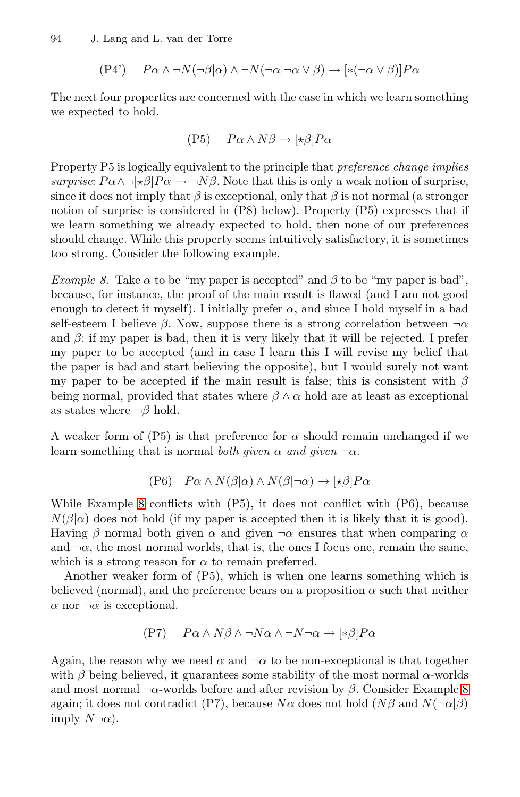$$
(P4') \qquad P\alpha \wedge \neg N(\neg \beta|\alpha) \wedge \neg N(\neg \alpha|\neg \alpha \vee \beta) \rightarrow [\ast(\neg \alpha \vee \beta)]P\alpha
$$

The next four properties are concerned with the case in which we learn something we expected to hold.

$$
(P5) \quad P\alpha \wedge N\beta \to [\star \beta]P\alpha
$$

<span id="page-8-0"></span>Property P5 is logically equivalent to the principle that *preference change implies surprise*:  $P\alpha \wedge \neg \forall \beta | P\alpha \rightarrow \neg N\beta$ . Note that this is only a weak notion of surprise, since it does not imply that  $\beta$  is exceptional, only that  $\beta$  is not normal (a stronger notion of surprise is considered in (P8) below). Property (P5) expresses that if we learn something we already expected to hold, then none of our preferences should change. While this property seems intuitively satisfactory, it is sometimes too strong. Consider the following example.

*Example 8.* Take  $\alpha$  to be "my paper is accepted" and  $\beta$  to be "my paper is bad", because, for instance, the proof of the main result is flawed (and I am not good enough to detect it myself). I initially prefer  $\alpha$ , and since I hold myself in a bad self-esteem I believe  $\beta$ . Now, suppose there is a strong correlation between  $\neg \alpha$ and  $\beta$ : if my paper is bad, then it is very likely that it will be rejected. I prefer my paper to be accepted (and in case I learn this I will revise my belief that the paper is bad and start believing the opposite), but I would surely not want my paper to be accepted if the main result is false; this is consistent with  $\beta$ being normal, provided that states where  $\beta \wedge \alpha$  hold are at least as exceptional as states where  $\neg \beta$  hold.

A weaker form of (P5) is that preference for  $\alpha$  should remain unchanged if we learn something that is normal *both given*  $\alpha$  *and given*  $\neg \alpha$ .

$$
(P6) \quad P\alpha \wedge N(\beta|\alpha) \wedge N(\beta|\neg \alpha) \to [\star \beta]P\alpha
$$

While Example 8 conflicts with  $(P5)$ , it does not conflict with  $(P6)$ , because  $N(\beta|\alpha)$  does not hold (if my paper is accepted then it is likely that it is good). Having  $\beta$  normal both given  $\alpha$  and given  $\neg \alpha$  ensures that when comparing  $\alpha$ and  $\neg \alpha$ , the most normal worlds, that is, the ones I focus one, remain the same, which is a strong reason for  $\alpha$  to remain preferred.

Another weaker form of (P5), which is when one learn[s s](#page-8-0)omething which is believed (normal), and the preference bears on a proposition  $\alpha$  such that neither  $\alpha$  nor  $\neg \alpha$  is exceptional.

$$
(P7) \qquad P\alpha \wedge N\beta \wedge \neg N\alpha \wedge \neg N\neg \alpha \rightarrow [\ast \beta]P\alpha
$$

Again, the reason why we need  $\alpha$  and  $\neg \alpha$  to be non-exceptional is that together with  $\beta$  being believed, it guarantees some stability of the most normal  $\alpha$ -worlds and most normal  $\neg \alpha$ -worlds before and after revision by  $\beta$ . Consider Example 8 again; it does not contradict (P7), because  $N\alpha$  does not hold  $(N\beta \text{ and } N(\neg \alpha|\beta)$ imply  $N\neg\alpha$ ).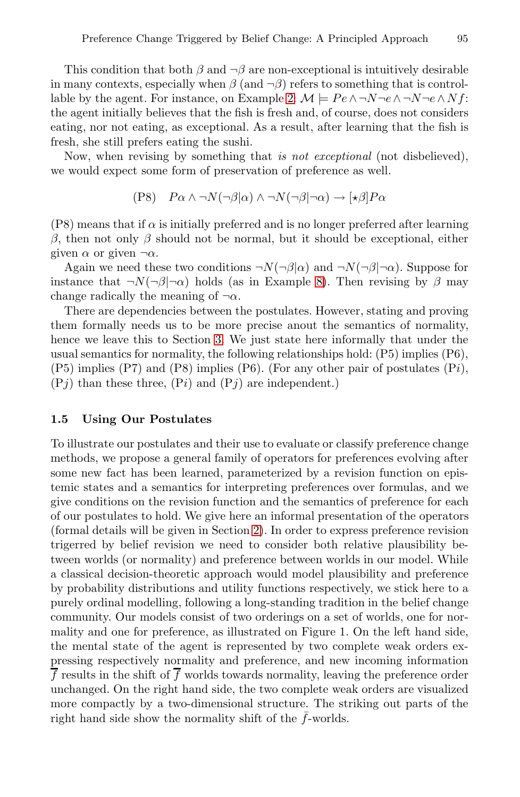This condition that both  $\beta$  and  $\neg \beta$  are non-exceptional is intuitively desirable in many contexts, especially when  $\beta$  (and  $\neg \beta$ ) refers to something that is controllable by the agent. For instance, on Example 2:  $\mathcal{M} \models Pe \land \neg N \neg e \land \neg N \neg e \land Nf$ : the agent initially believes that the fish is fresh and, of course, does not considers eating, nor not eating, as exceptional. As a result, after learning that the fish is fresh, she still prefers eating the sushi.

Now, when revising by something that *is not exceptional* (not disbelieved), we would expect some form of [pr](#page-8-0)eservation of preference as well.

$$
(P8) \quad P\alpha \wedge \neg N(\neg \beta|\alpha) \wedge \neg N(\neg \beta|\neg \alpha) \rightarrow [\star \beta]P\alpha
$$

 $(P8)$  means [th](#page-15-0)at if  $\alpha$  is initially preferred and is no longer preferred after learning β, then not only β should not be normal, but it should be exceptional, either given  $\alpha$  or given  $\neg \alpha$ .

Again we need these two conditions  $\neg N(\neg \beta|\alpha)$  and  $\neg N(\neg \beta|\neg \alpha)$ . Suppose for instance that  $\neg N(\neg \beta | \neg \alpha)$  holds (as in Example 8). Then revising by  $\beta$  may change radically the meaning of  $\neg \alpha$ .

There are dependencies between the postulates. However, stating and proving them formally needs us to be more precise anout the semantics of normality, hence we leave this to Section 3. We just state here informally that under the usual semantics for normality, the following relationships hold: (P5) implies (P6),  $(P5)$  implies  $(P7)$  and  $(P8)$  implies  $(P6)$ . (For any other pair of postulates  $(Pi)$ ,  $(Pj)$  than these three,  $(Pi)$  and  $(Pj)$  are independent.)

#### **1.5 Using Our [Po](#page-10-0)stulates**

To illustrate our postulates and their use to evaluate or classify preference change methods, we propose a general family of operators for preferences evolving after some new fact has been learned, parameterized by a revision function on epistemic states and a semantics for interpreting preferences over formulas, and we give conditions on the revision function and the semantics of preference for each of our postulates to hold. We give here an informal presentation of the operators (formal details will be given in Section 2). In order to express preference revision trigerred by belief revision we need to consider both relative plausibility between worlds (or normality) and preference between worlds in our model. While a classical decision-theoretic approach would model plausibility and preference by probability distributions and utility functions respectively, we stick here to a purely ordinal modelling, following a long-standing tradition in the belief change community. Our models consist of two orderings on a set of worlds, one for normality and one for preference, as illustrated on Figure 1. On the left hand side, the mental state of the agent is represented by two complete weak orders expressing respectively normality and preference, and new incoming information  $\overline{f}$  results in the shift of  $\overline{f}$  worlds towards normality, leaving the preference order unchanged. On the right hand side, the two complete weak orders are visualized more compactly by a two-dimensional structure. The striking out parts of the right hand side show the normality shift of the  $\bar{f}$ -worlds.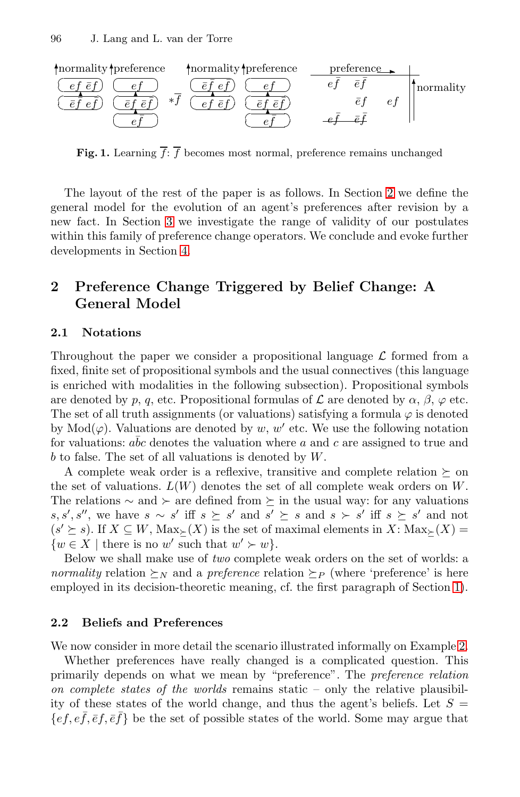

**Fig. 1.** Learning  $\overline{f}$ :  $\overline{f}$  becomes most normal, preference remains unchanged

<span id="page-10-0"></span>The layout of the rest of the paper is as follows. In Section 2 we define the general model for the evolution of an agent's preferences after revision by a new fact. In Section 3 we investigate the range of validity of our postulates within this family of preference change operators. We conclude and evoke further developments in Section 4.

# **2 Preference Change Triggered by Belief Change: A General Model**

#### **2.1 Notations**

Throughout the paper we consider a propositional language  $\mathcal L$  formed from a fixed, finite set of propositional symbols and the usual connectives (this language is enriched with modalities in the following subsection). Propositional symbols are denoted by p, q, etc. Propositional formulas of  $\mathcal L$  are denoted by  $\alpha$ ,  $\beta$ ,  $\varphi$  etc. The set of all truth assignments (or valuations) satisfying a formula  $\varphi$  is denoted by Mod( $\varphi$ ). Valuations are denoted by w, w' etc. We use the following notation for valuations:  $abc$  denotes the valuation where a and c are assigned to true and b to false. The set of all valuations is denoted by W.

A c[om](#page-0-0)plete weak order is a reflexive, transitive and complete relation  $\succeq$  on the set of valuations.  $L(W)$  denotes the set of all complete weak orders on  $W$ . The relations  $\sim$  and  $\succ$  are defined from  $\succeq$  in the usual way: for any valuations s, s', s'', we have s ∼ s' iff s  $\succeq$  s' and s'  $\succeq$  s and s  $\succeq$  s' iff s  $\succeq$  s' and not  $(s' \succeq s)$ . If  $X \subseteq W$ ,  $\text{Max}_{\succ}(X)$  is the set of maximal eleme[nts](#page-2-0) in  $X: \text{Max}_{\succ}(X)$  $\{w \in X \mid \text{there is no } w' \text{ such that } w' \succ w\}.$ 

Below we shall make use of *two* complete weak orders on the set of worlds: a *normality* relation  $\succ_N$  and a *preference* relation  $\succ_P$  (where 'preference' is here employed in its decision-theoretic meaning, cf. the first paragraph of Section 1).

#### **2.2 Beliefs and Preferences**

We now consider in more detail the scenario illustrated informally on Example 2.

Whether preferences have really changed is a complicated question. This primarily depends on what we mean by "preference". The *preference relation on complete states of the worlds* remains static – only the relative plausibility of these states of the world change, and thus the agent's beliefs. Let  $S =$  $\{ef, ef, \bar{ef}, \bar{ef}\}$  be the set of possible states of the world. Some may argue that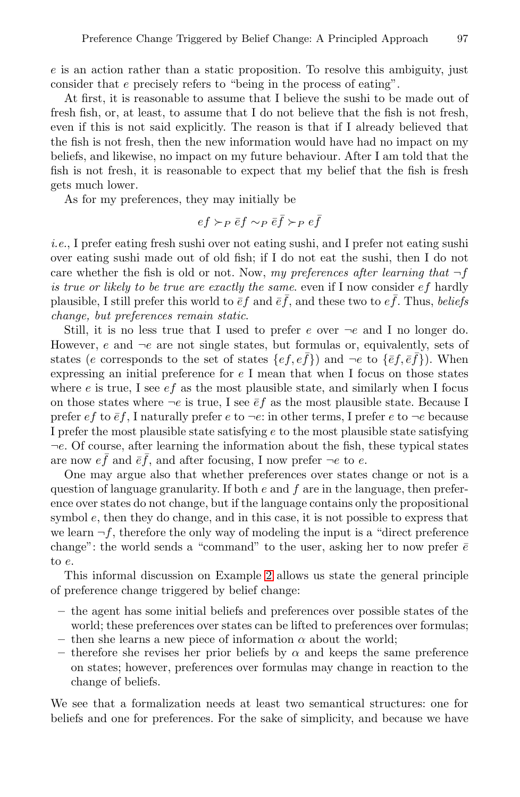$e$  is an action rather than a static proposition. To resolve this ambiguity, just consider that e precisely refers to "being in the process of eating".

At first, it is reasonable to assume that I believe the sushi to be made out of fresh fish, or, at least, to assume that I do not believe that the fish is not fresh, even if this is not said explicitly. The reason is that if I already believed that the fish is not fresh, then the new information would have had no impact on my beliefs, and likewise, no impact on my future behaviour. After I am told that the fish is not fresh, it is reasonable to expect that my belief that the fish is fresh gets much lower.

As for my preferences, they may initially be

$$
ef \succ_P \bar{e}f \sim_P \bar{e}\bar{f} \succ_P e\bar{f}
$$

*i.e.*, I prefer eating fresh sushi over not eating sushi, and I prefer not eating sushi over eating sushi made out of old fish; if I do not eat the sushi, then I do not care whether the fish is old or not. Now, *my preferences after learning that* ¬f *is true or likely to be true are exactly the same*. even if I now consider ef hardly plausible, I still prefer this world to  $\bar{\epsilon}f$  and  $\bar{\epsilon}\bar{f}$ , and these two to  $e\bar{f}$ . Thus, *beliefs change, but preferences remain static*.

Still, it is no less true that I used to prefer  $e$  over  $\neg e$  and I no longer do. However, e and  $\neg e$  are not single states, but formulas or, equivalently, sets of states (e corresponds to the set of states  $\{ef, e\bar{f}\}\$ ) and  $\neg e$  to  $\{\bar{e}f, \bar{e}\bar{f}\}\$ ). When expressing an initial preference for e I mean that when I focus on those states where  $e$  is true, I see  $ef$  as the most plausible state, and similarly when I focus on those states where  $\neg e$  is true, I see  $\bar{e}f$  as the most plausible state. Because I prefer e f to  $\bar{e}f$ , I naturally prefer e to  $\neg e$ : in other terms, I prefer e to  $\neg e$  because I prefer the most plausible state satisfying e to the most plausible state satisfying  $\neg e$ . Of course, after learning the information about the fish, these typical states are now  $ef$  a[nd](#page-2-0)  $\bar{e}f$ , and after focusing, I now prefer  $\neg e$  to  $e$ .

One may argue also that whether preferences over states change or not is a question of language granularity. If both  $e$  and  $f$  are in the language, then preference over states do not change, but if the language contains only the propositional symbol  $e$ , then they do change, and in this case, it is not possible to express that we learn  $\neg f$ , therefore the only way of modeling the input is a "direct preference change": the world sends a "command" to the user, asking her to now prefer  $\bar{e}$ to e.

This informal discussion on Example 2 allows us state the general principle of preference change triggered by belief change:

- **–** the agent has some initial beliefs and preferences over possible states of the world; these preferences over states can be lifted to preferences over formulas;
- then she learns a new piece of information  $\alpha$  about the world;
- therefore she revises her prior beliefs by  $\alpha$  and keeps the same preference on states; however, preferences over formulas may change in reaction to the change of beliefs.

We see that a formalization needs at least two semantical structures: one for beliefs and one for preferences. For the sake of simplicity, and because we have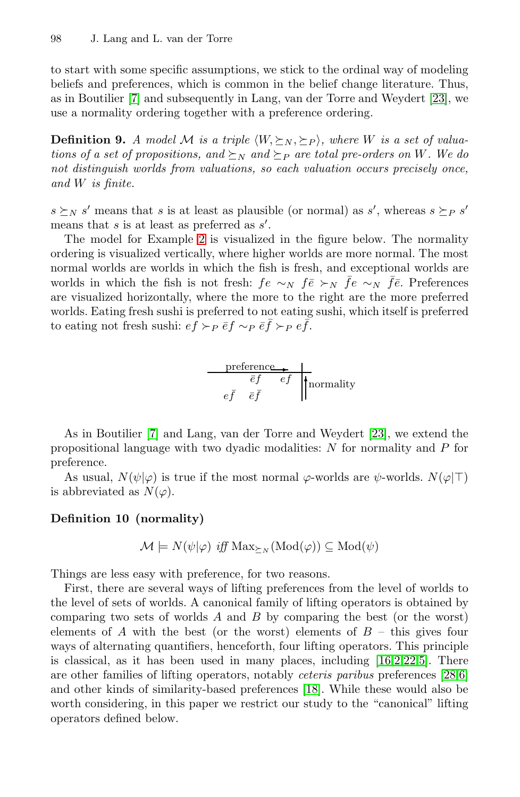to start with some specific assumptions, we stick to the ordinal way of modeling beliefs and preferences, which is common in the belief change literature. Thus, as in Boutilier [7] and subsequently in Lang, van der Torre and Weydert [23], we use a normality ordering together with a preference ordering.

**Definition 9.** *A model M is a triple*  $\langle W, \succeq_N, \succeq_P \rangle$ *, where W is a set of valuations of a set of propositions, and*  $\succeq_N$  *and*  $\succeq_P$  *are total pre-orders on* W. We do *not distinguish worlds from valuations, so each valuation occurs precisely once, and* W *is finite.*

 $s \succeq_N s'$  means that s is at least as plausible (or normal) as s', whereas  $s \succeq_P s'$ means that  $s$  is at least as preferred as  $s'$ .

The model for Example 2 is visualized in the figure below. The normality ordering is visualized vertically, where higher worlds are more normal. The most normal worlds are worlds in which the fish is fresh, and exceptional worlds are worlds in which the fish is not fresh:  $fe \sim_N \bar{f}e \succ_N \bar{f}e \sim_N \bar{f}e$ . Preferences are visualized horizontally, where the more to the right are the more preferred worlds. Eating fresh sushi is preferred to not eating sushi, which itself is preferred [to](#page-24-3) eating not fresh sushi:  $ef \succ_P \bar{e}f \sim_P \bar{e}\bar{f} \succ_P e\bar{f}$ .

$$
\begin{array}{c}\n \text{preference}\n \hline\n \bar{\epsilon}f & \bar{\epsilon}f \\
\bar{\epsilon}\bar{f} & \bar{\epsilon}\bar{f}\n \end{array}
$$
\n
$$
\begin{array}{c}\n \text{normality}\n \hline\n \end{array}
$$

As in Boutilier [7] and Lang, van der Torre and Weydert [23], we extend the propositional language with two dyadic modalities: N for normality and P for preference.

As usual,  $N(\psi|\varphi)$  is true if the most normal  $\varphi$ -worlds are  $\psi$ -worlds.  $N(\varphi|\top)$ is abbreviated as  $N(\varphi)$ .

### **Definition 10 (normality)**

$$
\mathcal{M} \models N(\psi|\varphi) \text{ iff } \text{Max}_{\succeq_N}(\text{Mod}(\varphi)) \subseteq \text{Mod}(\psi)
$$

Things are less easy with pre[fere](#page-25-6)nce, for two reasons.

First, there are several ways of lifting preferences from the level of worlds to the level of sets of worlds. A canonical family of lifting operators is obtained by comparing two sets of worlds  $A$  and  $B$  by comparing the best (or the worst) elements of A with the best (or the worst) elements of  $B$  – this gives four ways of alternating quantifiers, henceforth, four lifting operators. This principle is classical, as it has been used in many places, including [16,2,22,5]. There are other families of lifting operators, notably *ceteris paribus* preferences [28,6] and other kinds of similarity-based preferences [18]. While these would also be worth considering, in this paper we restrict our study to the "canonical" lifting operators defined below.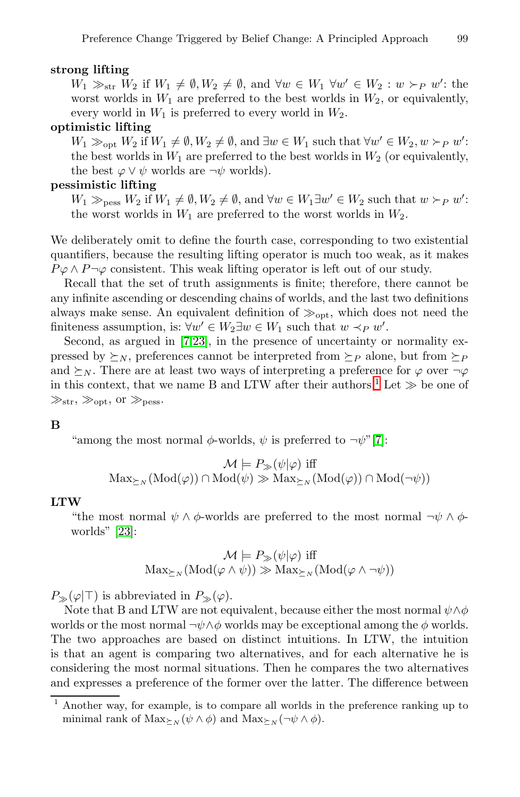#### **strong lifting**

 $W_1 \gg_{str} W_2$  if  $W_1 \neq \emptyset, W_2 \neq \emptyset$ , and  $\forall w \in W_1 \ \forall w' \in W_2 : w \succ_P w'$ : the worst worlds in  $W_1$  are preferred to the best worlds in  $W_2$ , or equivalently, every world in  $W_1$  is preferred to every world in  $W_2$ .

#### **optimistic lifting**

 $W_1 \gg_{\text{opt}} W_2$  if  $W_1 \neq \emptyset, W_2 \neq \emptyset, \text{ and } \exists w \in W_1 \text{ such that } \forall w' \in W_2, w \succ_P w'$ : the best worlds in  $W_1$  are preferred to the best worlds in  $W_2$  (or equivalently, the best  $\varphi \vee \psi$  worlds are  $\neg \psi$  worlds).

#### **pessimistic lifting**

 $W_1 \gg_{\text{pess}} W_2$  if  $W_1 \neq \emptyset, W_2 \neq \emptyset$ , and  $\forall w \in W_1 \exists w' \in W_2$  such that  $w \succ_P w'$ : the worst worlds in  $W_1$  are preferred to the worst worlds in  $W_2$ .

We d[eli](#page-24-3)[ber](#page-25-10)ately omit to define the fourth case, corresponding to two existential quantifiers, because the resulting lifting operator is much too weak, as it makes  $P\varphi \wedge P\neg \varphi$  consistent. This weak lifting o[pe](#page-13-0)rator is left out of our study.

Recall that the set of truth assignments is finite; therefore, there cannot be any infinite ascending or descending chains of worlds, and the last two definitions always make sense. An equivalent definition of  $\gg_{\text{opt}}$ , which does not need the finiteness assumption, is:  $\forall w' \in W_2 \exists w \in W_1$  $\forall w' \in W_2 \exists w \in W_1$  such that  $w \prec_P w'$ .

Second, as argued in [7,23], in the presence of uncertainty or normality expressed by  $\succeq_N$ , preferences cannot be interpreted from  $\succeq_P$  alone, but from  $\succeq_P$ and  $\succeq_N$ . There are at least two ways of interpreting a preference for  $\varphi$  over  $\neg \varphi$ in this context, that we name B and LTW after their authors.<sup>1</sup> Let  $\gg$  be one of  $\gg_{str, \gg_{opt,} 0r \gg_{pess}.$ 

#### **B**

"among the most normal  $\phi$ -worlds,  $\psi$  is preferred to  $\neg \psi$ "[7]:

$$
\mathcal{M} \models P_{\gg}(\psi|\varphi) \text{ iff } \\ \text{Max}_{\succeq_N}(\text{Mod}(\varphi)) \cap \text{Mod}(\psi) \gg \text{Max}_{\succeq_N}(\text{Mod}(\varphi)) \cap \text{Mod}(\neg \psi))
$$

#### **LTW**

"the most normal  $\psi \wedge \phi$ -worlds are preferred to the most normal  $\neg \psi \wedge \phi$ worlds" [23]:

$$
\mathcal{M} \models P_{\gg}(\psi|\varphi) \text{ iff}
$$

$$
\text{Max}_{\succeq N}(\text{Mod}(\varphi \land \psi)) \gg \text{Max}_{\succeq N}(\text{Mod}(\varphi \land \neg \psi))
$$

 $P_{\gg}(\varphi|\top)$  is abbreviated in  $P_{\gg}(\varphi)$ .

<span id="page-13-0"></span>Note that B and LTW are not equivalent, because either the most normal  $\psi \wedge \phi$ worlds or the most normal  $\neg \psi \wedge \phi$  worlds may be exceptional among the  $\phi$  worlds. The two approaches are based on distinct intuitions. In LTW, the intuition is that an agent is comparing two alternatives, and for each alternative he is considering the most normal situations. Then he compares the two alternatives and expresses a preference of the former over the latter. The difference between

<sup>1</sup> Another way, for example, is to compare all worlds in the preference ranking up to minimal rank of  $\text{Max}_{\succeq N}(\psi \wedge \phi)$  and  $\text{Max}_{\succeq N}(\neg \psi \wedge \phi)$ .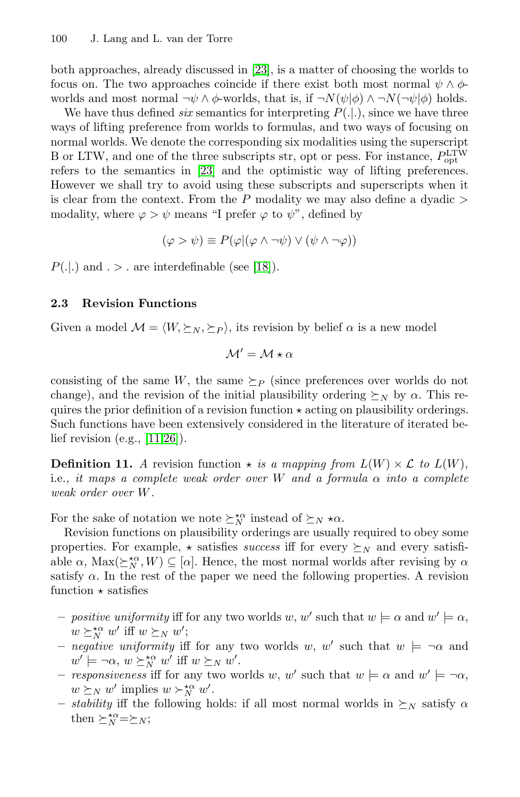both app[roa](#page-25-10)ches, already discussed in [23], is a matter of choosing the worlds to focus on. The two approaches coincide if there exist both most normal  $\psi \wedge \phi$ worlds and most normal  $\neg \psi \wedge \phi$ -worlds, that is, if  $\neg N(\psi|\phi) \wedge \neg N(\neg \psi|\phi)$  holds.

We have thus defined *six* semantics for interpreting  $P(.).$ , since we have three ways of lifting preference from worlds to formulas, and two ways of focusing on normal worlds. We denote the corresponding six modalities using the superscript B or LTW, and one [of](#page-25-6) the three subscripts str, opt or pess. For instance,  $P_{\rm opt}^{\rm LTW}$ refers to the semantics in [23] and the optimistic way of lifting preferences. However we shall try to avoid using these subscripts and superscripts when it is clear from the context. From the P modality we may also define a dyadic  $>$ modality, where  $\varphi > \psi$  means "I prefer  $\varphi$  to  $\psi$ ", defined by

$$
(\varphi > \psi) \equiv P(\varphi | (\varphi \wedge \neg \psi) \vee (\psi \wedge \neg \varphi))
$$

 $P(.|.)$  and  $. > .$  are interdefinable (see [18]).

# **2.3 Revision Functions**

[Gi](#page-25-13)[ven](#page-25-14) a model  $\mathcal{M} = \langle W, \succeq_N, \succeq_P \rangle$ , its revision by belief  $\alpha$  is a new model

$$
\mathcal{M}'=\mathcal{M}\star\alpha
$$

consisting of the same W, the same  $\succeq_{P}$  (since preferences over worlds do not change), and the revision of the initial plausibility ordering  $\succeq_N$  by  $\alpha$ . This requires the prior definition of a revision function  $\star$  acting on plausibility orderings. Such functions have been extensively considered in the literature of iterated belief revision (e.g., [11,26]).

**Definition 11.** *A* revision function  $\star$  *is a mapping from*  $L(W) \times \mathcal{L}$  *to*  $L(W)$ *,* i.e.*, it maps a complete weak order over* W *and a formula* α *into a complete weak order over* W*.*

For the sake of notation we note  $\succeq_N^{\kappa\alpha}$  instead of  $\succeq_N \kappa\alpha$ .

Revision functions on plausibility orderings are usually required to obey some properties. For example,  $\star$  satisfies *success* iff for every  $\succeq_N$  and every satisfiable  $\alpha$ ,  $\text{Max}(\succeq^{\star\alpha}_{N}, W) \subseteq [\alpha]$ . Hence, the most normal worlds after revising by  $\alpha$ satisfy  $\alpha$ . In the rest of the paper we need the following properties. A revision function  $\star$  satisfies

- **–** *positive uniformity* iff for any two worlds w, w' such that  $w \models \alpha$  and  $w' \models \alpha$ ,  $w \succeq_N^{*\alpha} w'$  iff  $w \succeq_N w'$ ;
- *negative uniformity* iff for any two worlds w, w' such that  $w \models \neg \alpha$  and  $w' \models \neg \alpha, w \succeq_N^{\star \alpha} w'$  iff  $w \succeq_N w'$ .
- **–** *responsiveness* iff for any two worlds w, w' such that  $w \models \alpha$  and  $w' \models \neg \alpha$ ,  $w \succeq_N w'$  implies  $w \succ_N^{\star \alpha} w'$ .
- *stability* iff the following holds: if all most normal worlds in  $\succeq_N$  satisfy  $\alpha$ then  $\succeq_N^{*\alpha}=\succeq_N;$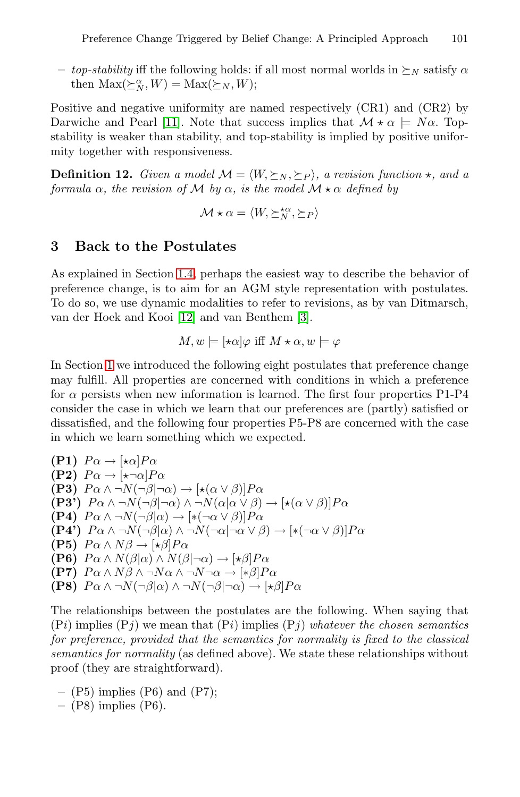*– top-stability* iff the following holds: if all most normal worlds in  $\succeq_N$  satisfy  $\alpha$ then  $\text{Max}(\succeq^{\alpha}_{N}, W) = \text{Max}(\succeq_{N}, W);$ 

<span id="page-15-0"></span>Positive and negative uniformity are named respectively (CR1) and (CR2) by Darwiche and Pearl [11]. Note that success implies that  $\mathcal{M} \star \alpha \models N\alpha$ . Topstability is weaker than stability, and top-stability is implied by positive uniformity together with responsiveness.

**Definition 12.** *Given a model*  $M = \langle W, \succeq_N, \succeq_P \rangle$ , a revision function  $\star$ , and a *formula*  $\alpha$ *, the revision of* M *by*  $\alpha$ *, is the model*  $M \star \alpha$  *defined by* 

$$
\mathcal{M} \star \alpha = \langle W, \succeq^{\star \alpha}_N, \succeq_P \rangle
$$

# **3 Back to the Postulates**

As explained in Section 1.4, perhaps the easiest way to describe the behavior of preference change, is to aim for an AGM style representation with postulates. To do so, we use dynamic modalities to refer to revisions, as by van Ditmarsch, van der Hoek and Kooi [12] and van Benthem [3].

$$
M, w \models [\star \alpha] \varphi \text{ iff } M \star \alpha, w \models \varphi
$$

In Section 1 we introduced the following eight postulates that preference change may fulfill. All properties are concerned with conditions in which a preference for  $\alpha$  persists when new information is learned. The first four properties P1-P4 consider the case in which we learn that our preferences are (partly) satisfied or dissatisfied, and the following four properties P5-P8 are concerned with the case in which we learn something which we expected.

**(P1)**  $P\alpha \rightarrow [\star \alpha]P\alpha$ **(P2)**  $P\alpha \rightarrow [\star \neg \alpha]P\alpha$ **(P3)**  $P \alpha \wedge \neg N(\neg \beta | \neg \alpha) \rightarrow [\star(\alpha \vee \beta)] P \alpha$ **(P3')**  $P\alpha \wedge \neg N(\neg \beta | \neg \alpha) \wedge \neg N(\alpha | \alpha \vee \beta) \rightarrow [\star(\alpha \vee \beta)]P\alpha$ **(P4)**  $P\alpha \wedge \neg N(\neg \beta|\alpha) \rightarrow [*(\neg \alpha \vee \beta)]P\alpha$ **(P4')**  $P\alpha \wedge \neg N(\neg \beta|\alpha) \wedge \neg N(\neg \alpha|\neg \alpha \vee \beta) \rightarrow [*(\neg \alpha \vee \beta)]P\alpha$ **(P5)**  $P\alpha \wedge N\beta \rightarrow [\star \beta]P\alpha$ **(P6)**  $P \alpha \wedge N(\beta|\alpha) \wedge N(\beta|\neg \alpha) \rightarrow [\star \beta]P \alpha$ **(P7)**  $P \alpha \wedge N \beta \wedge \neg N \alpha \wedge \neg N \neg \alpha \rightarrow [*\beta] P \alpha$ **(P8)**  $P\alpha \wedge \neg N(\neg \beta|\alpha) \wedge \neg N(\neg \beta|\neg \alpha) \rightarrow [\star \beta]P\alpha$ 

The relationships between the postulates are the following. When saying that  $(P_i)$  implies  $(P_j)$  we mean that  $(P_i)$  implies  $(P_j)$  *whatever the chosen semantics for preference, provided that the semantics for normality is fixed to the classical semantics for normality* (as defined above). We state these relationships without proof (they are straightforward).

**–** (P5) implies (P6) and (P7);

```
– (P8) implies (P6).
```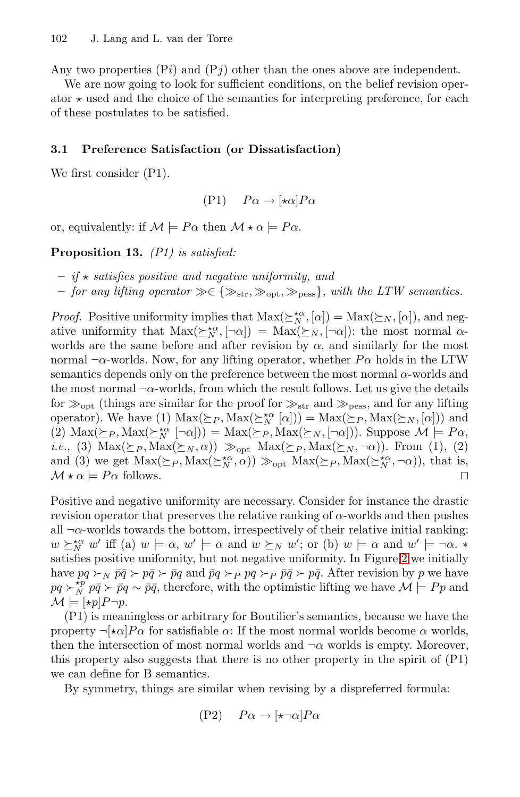Any two properties  $(P_i)$  and  $(P_j)$  other than the ones above are independent.

We are now going to look for sufficient conditions, on the belief revision operator  $\star$  used and the choice of the semantics for interpreting preference, for each of these postulates to be satisfied.

#### <span id="page-16-0"></span>**3.1 Preference Satisfaction (or Dissatisfaction)**

We first consider (P1).

$$
(P1) \quad P\alpha \to [\star \alpha] P\alpha
$$

or, equivalently: if  $\mathcal{M} \models P\alpha$  then  $\mathcal{M} \star \alpha \models P\alpha$ .

**Proposition 13.** *(P1) is satisfied:*

**–** *if satisfies positive and negative uniformity, and*

 $−$  *for any lifting operator*  $\gg \in \{\gg_{str}, \gg_{\text{obs}}, \gg_{\text{ness}}\}$ *, with the LTW semantics.* 

*Proof.* Positive uniformity implies that  $Max(\geq_N^{\star\alpha}, [\alpha]) = Max(\geq_N, [\alpha])$ , and negative uniformity that  $Max(\Sigma_N^{\star\alpha}, [\neg \alpha]) = Max(\Sigma_N, [\neg \alpha])$ : the most normal  $\alpha$ worlds are the same before and after revision by  $\alpha$ , and similarly for the most normal  $\neg \alpha$ -worlds. Now, for any lifting operator, whether  $P\alpha$  holds in the LTW semantics depends only on the preference between the most normal  $\alpha$ -worlds and the most normal  $\neg \alpha$ -worlds, from which the result follows. Let us give the details for  $\gg_{\text{opt}}$  (things are similar for the proof for  $\gg_{\text{str}}$  and  $\gg_{\text{pess}}$ , and for any lifting operator). We have (1)  $\text{Max}(\succeq_P, \text{Max}(\succeq'_N [\alpha])) = \text{Max}(\succeq_P, \text{Max}(\succeq_N, [\alpha]))$  and (2)  $\text{Max}(\succeq_P, \text{Max}(\succeq_N^{\star\alpha} [\neg\alpha])) = \text{Max}(\succeq_P, \text{Max}(\succeq_N, [\neg\alpha]))$ . Suppose  $\mathcal{M} \models Pa$ , *i.e.*[,](#page-17-0) (3)  $\text{Max}(\succeq_P, \text{Max}(\succeq_N, \alpha)) \gg_{\text{opt}} \text{Max}(\succeq_P, \text{Max}(\succeq_N, \neg \alpha))$ . From (1), (2) and (3) we get  $\text{Max}(\geq_P, \text{Max}(\geq_N^{\star\alpha}, \alpha)) \gg_{\text{opt}} \text{Max}(\geq_P, \text{Max}(\geq_N^{\star\alpha}, \neg \alpha)),$  that is,  $\mathcal{M} \star \alpha \models P\alpha$  follows.

Positive and negative uniformity are necessary. Consider for instance the drastic revision operator that preserves the relative ranking of  $\alpha$ -worlds and then pushes all  $\neg \alpha$ -worlds towards the bottom, irrespectively of their relative initial ranking:  $w \succeq_N^{k\alpha} w'$  iff (a)  $w \models \alpha$ ,  $w' \models \alpha$  and  $w \succeq_N w'$ ; or (b)  $w \models \alpha$  and  $w' \models \neg \alpha$ . satisfies positive uniformity, but not negative uniformity. In Figure 2 we initially have  $pq \succ_N \bar{p}\bar{q} \succ p\bar{q} \succ \bar{p}q$  and  $\bar{p}q \succ_P pq \succ_P \bar{p}\bar{q} \succ p\bar{q}$ . After revision by p we have  $pq \succ_N^{kp} p\bar{q} \succ \bar{p}q \sim \bar{p}\bar{q}$ , therefore, with the optimistic lifting we have  $\mathcal{M} \models Pp$  and  $\mathcal{M} \models [\star p] P \neg p.$ 

(P1) is meaningless or arbitrary for Boutilier's semantics, because we have the property  $\neg[\star \alpha]P\alpha$  for satisfiable  $\alpha$ : If the most normal worlds become  $\alpha$  worlds, then the intersection of most normal worlds and  $\neg \alpha$  worlds is empty. Moreover, this property also suggests that there is no other property in the spirit of (P1) we can define for B semantics.

By symmetry, things are similar when revising by a dispreferred formula:

 $(P2)$   $P\alpha \rightarrow [\star \neg \alpha]P\alpha$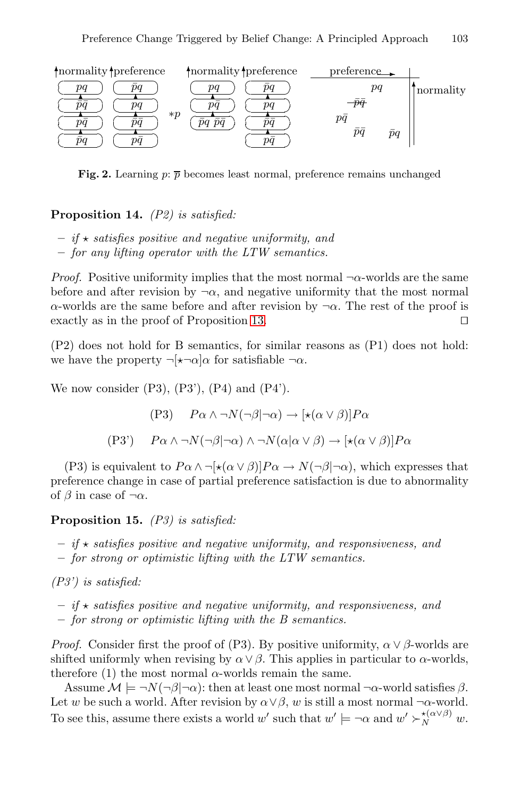<span id="page-17-0"></span>

**Fig. 2.** Learning  $p: \overline{p}$  becomes least normal, preference remains unchanged

**Proposition 14.** *[\(P2](#page-16-0)) is satisfied:*

- $-$  *if*  $\star$  *satisfies positive and negative uniformity, and*
- **–** *for any lifting operator with the LTW semantics.*

*Proof.* Positive uniformity implies that the most normal  $\neg \alpha$ -worlds are the same before and after revision by  $\neg \alpha$ , and negative uniformity that the most normal α-worlds are the same before and after revision by ¬α. The rest of the proof is exactly as in the proof of Proposition 13.

(P2) does not hold for B semantics, for similar reasons as (P1) does not hold: we have the property  $\neg[\star\neg\alpha]\alpha$  for satisfiable  $\neg\alpha$ .

<span id="page-17-1"></span>We now consider  $(P3)$ ,  $(P3')$ ,  $(P4)$  and  $(P4')$ .

$$
(P3) \quad P\alpha \land \neg N(\neg \beta | \neg \alpha) \to [\star(\alpha \lor \beta)]P\alpha
$$

$$
(P3') \quad P\alpha \land \neg N(\neg \beta | \neg \alpha) \land \neg N(\alpha | \alpha \lor \beta) \to [\star(\alpha \lor \beta)]P\alpha
$$

(P3) is equivalent to  $P\alpha \wedge \neg[\star(\alpha \vee \beta)]P\alpha \rightarrow N(\neg \beta|\neg \alpha)$ , which expresses that preference change in case of partial preference satisfaction is due to abnormality of  $\beta$  in case of  $\neg \alpha$ .

#### **Proposition 15.** *(P3) is satisfied:*

- $-$  *if*  $\star$  *satisfies positive and negative uniformity, and responsiveness, and*
- **–** *for strong or optimistic lifting with the LTW semantics.*

*(P3') is satisfied:*

 $-$  *if*  $\star$  *satisfies positive and negative uniformity, and responsiveness, and* **–** *for strong or optimistic lifting with the B semantics.*

*Proof.* Consider first the proof of (P3). By positive uniformity,  $\alpha \vee \beta$ -worlds are shifted uniformly when revising by  $\alpha \vee \beta$ . This applies in particular to  $\alpha$ -worlds, therefore (1) the most normal  $\alpha$ -worlds remain the same.

Assume  $\mathcal{M} \models \neg N(\neg \beta | \neg \alpha)$ : then at least one most normal  $\neg \alpha$ -world satisfies  $\beta$ . Let w be such a world. After revision by  $\alpha \vee \beta$ , w is still a most normal ¬α-world. To see this, assume there exists a world w' such that  $w' \models \neg \alpha$  and  $w' \succ_{N}^{*(\alpha \vee \beta)} w$ .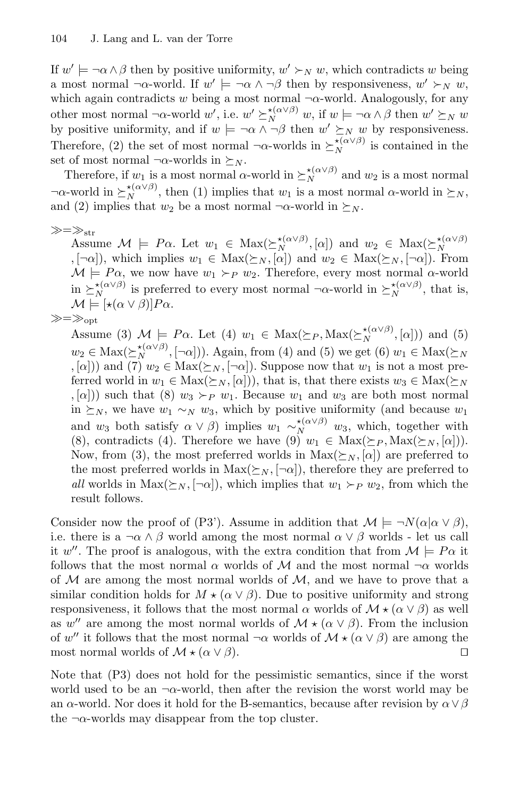If  $w' \models \neg \alpha \land \beta$  then by positive uniformity,  $w' \succ_N w$ , which contradicts w being a most normal  $\neg \alpha$ -world. If  $w' \models \neg \alpha \land \neg \beta$  then by responsiveness,  $w' \succ_N w$ , which again contradicts w being a most normal  $\neg \alpha$ -world. Analogously, for any other most normal  $\neg \alpha$ -world w', i.e.  $w' \succeq_N^{\star(\alpha \vee \beta)} w$ , if  $w \models \neg \alpha \wedge \beta$  then  $w' \succeq_N w$ by positive uniformity, and if  $w \models \neg \alpha \land \neg \beta$  then  $w' \succeq_N w$  by responsiveness. Therefore, (2) the set of most normal  $\neg \alpha$ -worlds in  $\succeq_N^{(\alpha \vee \beta)}$  is contained in the set of most normal  $\neg \alpha$ -worlds in  $\succeq_N$ .

Therefore, if  $w_1$  is a most normal  $\alpha$ -world in  $\succeq_N^{*(\alpha\vee\beta)}$  and  $w_2$  is a most normal  $\neg \alpha$ -world in  $\succeq_N^{\star(\alpha \vee \beta)}$ , then (1) implies that  $w_1$  is a most normal  $\alpha$ -world in  $\succeq_N$ , and (2) implies that  $w_2$  be a most normal  $\neg \alpha$ -world in  $\succeq_N$ .

 $\gg=\gg_{\rm str}$ 

Assume  $\mathcal{M} \models P\alpha$ . Let  $w_1 \in \text{Max}(\succeq_N^{*(\alpha \vee \beta)}, [\alpha])$  and  $w_2 \in \text{Max}(\succeq_N^{*(\alpha \vee \beta)}, [\neg \alpha]),$  which implies  $w_1 \in \text{Max}(\succeq_N, [\alpha])$  and  $w_2 \in \text{Max}(\succeq_N, [\neg \alpha]).$  From  $M \models Pa$ , we now have  $w_1 \succ_P w_2$ . Therefore, every most normal  $\alpha$ -world in  $\sum_{N}^{*(\alpha \vee \beta)}$  is preferred to every most normal  $\neg \alpha$ -world in  $\sum_{N}^{*(\alpha \vee \beta)}$ , that is,  $\mathcal{M} \models [\star(\alpha \vee \beta)] P \alpha.$ 

$$
\gg=\gg_{\rm opt}
$$

Assume (3)  $M \models P\alpha$ . Let (4)  $w_1 \in \text{Max}(\succeq_P, \text{Max}(\succeq_N^{\star(\alpha \vee \beta)}, [\alpha]))$  and (5)  $w_2 \in \text{Max}(\succeq_N^{*(\alpha \vee \beta)}, [\neg \alpha])$ . Again, from (4) and (5) we get (6)  $w_1 \in \text{Max}(\succeq_N)$ , [ $\alpha$ ]) and (7)  $w_2 \in \text{Max}(\succeq_N, \lceil \neg \alpha \rceil)$ . Suppose now that  $w_1$  is not a most preferred world in  $w_1 \in \text{Max}(\succeq_N, [\alpha])$ , that is, that there exists  $w_3 \in \text{Max}(\succeq_N$ ,  $[\alpha]$ ) such that (8)  $w_3 \succ_P w_1$ . Because  $w_1$  and  $w_3$  are both most normal in  $\succeq_N$ , we have  $w_1 \sim_N w_3$ , which by positive uniformity (and because  $w_1$ and  $w_3$  both satisfy  $\alpha \vee \beta$  implies  $w_1 \sim_N^{*(\alpha \vee \beta)} w_3$ , which, together with (8), contradicts (4). Therefore we have (9)  $w_1 \in \text{Max}(\succeq_P, \text{Max}(\succeq_N, [\alpha]))$ . Now, from (3), the most preferred worlds in  $Max(\succeq_N, [\alpha])$  are preferred to the most preferred worlds in  $Max(\Sigma_N, [\neg \alpha])$ , therefore they are preferred to *all* worlds in  $Max(\succeq_N, [\neg \alpha])$ , which implies that  $w_1 \succ_P w_2$ , from which the result follows.

Consider now the proof of (P3'). Assume in addition that  $\mathcal{M} \models \neg N(\alpha|\alpha \vee \beta)$ , i.e. there is a  $\neg \alpha \wedge \beta$  world among the most normal  $\alpha \vee \beta$  worlds - let us call it w''. The proof is analogous, with the extra condition that from  $\mathcal{M} \models P\alpha$  it follows that the most normal  $\alpha$  worlds of M and the most normal  $\neg \alpha$  worlds of  $M$  are among the most normal worlds of  $M$ , and we have to prove that a similar condition holds for  $M \star (\alpha \vee \beta)$ . Due to positive uniformity and strong responsiveness, it follows that the most normal  $\alpha$  worlds of  $\mathcal{M} \star (\alpha \vee \beta)$  as well as w'' are among the most normal worlds of  $\mathcal{M} \star (\alpha \vee \beta)$ . From the inclusion of w'' it follows that the most normal  $\neg \alpha$  worlds of  $\mathcal{M} \star (\alpha \vee \beta)$  are among the most normal worlds of  $\mathcal{M} \star (\alpha \vee \beta)$ .

Note that (P3) does not hold for the pessimistic semantics, since if the worst world used to be an  $\neg \alpha$ -world, then after the revision the worst world may be an  $\alpha$ -world. Nor does it hold for the B-semantics, because after revision by  $\alpha \vee \beta$ the  $\neg \alpha$ -worlds may disappear from the top cluster.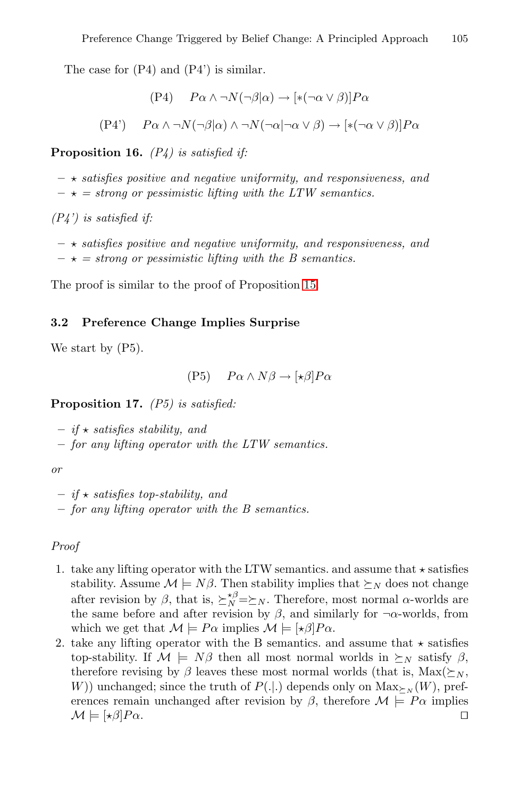The case for (P4) and (P4') is similar.

$$
(P4) \quad P\alpha \wedge \neg N(\neg \beta|\alpha) \rightarrow [\ast(\neg \alpha \vee \beta)]P\alpha
$$

$$
(P4') \qquad P\alpha \wedge \neg N(\neg \beta|\alpha) \wedge \neg N(\neg \alpha|\neg \alpha \vee \beta) \rightarrow [*(\neg \alpha \vee \beta)]P\alpha
$$

**Proposition 16.** *(P4) is satisfied if:*

**–** *satisfies positive and n[egat](#page-17-1)ive uniformity, and responsiveness, and*  $-\star$  = strong or pessimistic lifting with the LTW semantics.

*(P4') is satisfied if:*

**–** *satisfies positive and negative uniformity, and responsiveness, and*  $-\star$  = strong or pessimistic lifting with the B semantics.

<span id="page-19-0"></span>The proof is similar to the proof of Proposition 15.

#### **3.2 Preference Change Implies Surprise**

We start by  $(P5)$ .

$$
(P5) \quad P\alpha \wedge N\beta \to [\star \beta]P\alpha
$$

**Proposition 17.** *(P5) is satisfied:*

**–** *if satisfies stability, and*

- **–** *for any lifting operator with the LTW semantics.*
- *or*

```
– if  satisfies top-stability, and
```
**–** *for any lifting operator with the B semantics.*

#### *Proof*

- 1. take any lifting operator with the LTW semantics. and assume that  $\star$  satisfies stability. Assume  $\mathcal{M} \models N\beta$ . Then stability implies that  $\succeq_N$  does not change after revision by  $\beta$ , that is,  $\sum_{N}^{\beta} \geq N$ . Therefore, most normal  $\alpha$ -worlds are the same before and after revision by  $\beta$ , and similarly for  $\neg \alpha$ -worlds, from which we get that  $\mathcal{M} \models P\alpha$  implies  $\mathcal{M} \models [\star \beta]P\alpha$ .
- 2. take any lifting operator with the B semantics. and assume that  $\star$  satisfies top-stability. If  $\mathcal{M} \models N\beta$  then all most normal worlds in  $\succeq_N$  satisfy  $\beta$ , therefore revising by  $\beta$  leaves these most normal worlds (that is, Max( $\succeq_N$ , W)) unchanged; since the truth of  $P(.|.)$  depends only on  $Max_{\succ_N}(W)$ , preferences remain unchanged after revision by  $\beta$ , therefore  $\mathcal{M} \models \mathbb{P}\alpha$  implies  $\mathcal{M} \models [\star \beta]P\alpha.$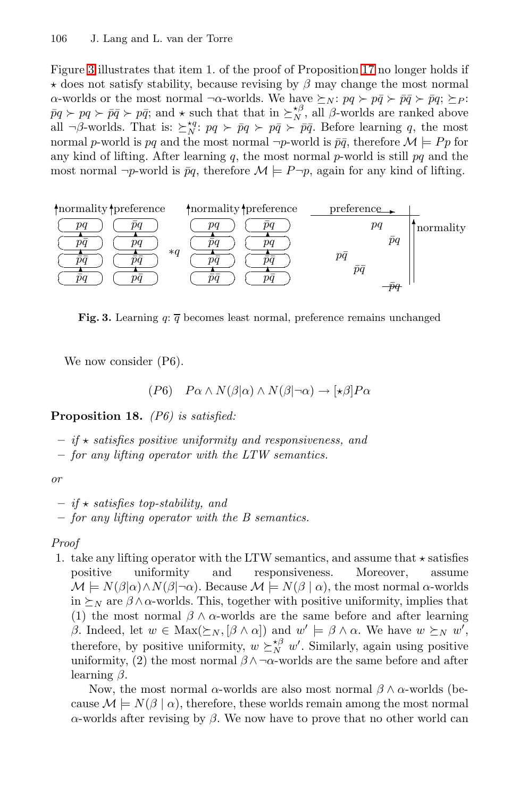Figure 3 illustrates that item 1. of the proof of Proposition 17 no longer holds if  $\star$  does not satisfy stability, because revising by  $\beta$  may change the most normal α-worlds or the most normal ¬α-worlds. We have  $\succeq_N$ :  $pq \succ p\bar{q} \succ p\bar{q} \succ p\bar{q}$ ;  $\succeq_P$ :  $\bar{p}q \succ pq \succ \bar{p}\bar{q} \succ p\bar{q}$ ; and  $\star$  such that that in  $\succeq_N^{\star\beta}$ , all  $\beta$ -worlds are ranked above all  $\neg \beta$ -worlds. That is:  $\sum_{i=1}^{n} p q \succ p \bar{q} \succ p \bar{q}$ . Before learning q, the most normal p-world is pq and the most normal  $\neg p$ -world is  $\bar{p}\bar{q}$ , therefore  $\mathcal{M} \models P p$  for any kind of lifting. After learning q, the most normal p-world is still  $pq$  and the most normal  $\neg p$ -world is  $\bar{p}q$ , therefore  $\mathcal{M} \models P \neg p$ , again for any kind of lifting.



**Fig. 3.** Learning  $q: \overline{q}$  becomes least normal, preference remains unchanged

We now consider  $(P6)$ .

$$
(P6) \quad P\alpha \wedge N(\beta|\alpha) \wedge N(\beta|\neg \alpha) \to [\star \beta]P\alpha
$$

**Proposition 18.** *(P6) is satisfied:*

- **–** *if satisfies positive uniformity and responsiveness, and*
- **–** *for any lifting operator with the LTW semantics.*

*or*

- **–** *if satisfies top-stability, and*
- **–** *for any lifting operator with the B semantics.*

*Proof*

1. take any lifting operator with the LTW semantics, and assume that  $\star$  satisfies positive uniformity and responsiveness. Moreover, assume  $\mathcal{M} \models N(\beta|\alpha) \land N(\beta|\neg \alpha)$ . Because  $\mathcal{M} \models N(\beta|\alpha)$ , the most normal  $\alpha$ -worlds in  $\succeq_N$  are  $\beta \wedge \alpha$ -worlds. This, together with positive uniformity, implies that (1) the most normal  $\beta \wedge \alpha$ -worlds are the same before and after learning β. Indeed, let  $w \in \text{Max}(\succeq_N, [\beta \wedge \alpha])$  and  $w' \models \beta \wedge \alpha$ . We have  $w \succeq_N w'$ , therefore, by positive uniformity,  $w \succeq_N^{\kappa \beta} w'$ . Similarly, again using positive uniformity, (2) the most normal  $\beta \wedge \neg \alpha$ -worlds are the same before and after learning  $\beta$ .

Now, the most normal  $\alpha$ -worlds are also most normal  $\beta \wedge \alpha$ -worlds (because  $\mathcal{M} \models N(\beta \mid \alpha)$ , therefore, these worlds remain among the most normal α-worlds after revising by β. We now have to prove that no other world can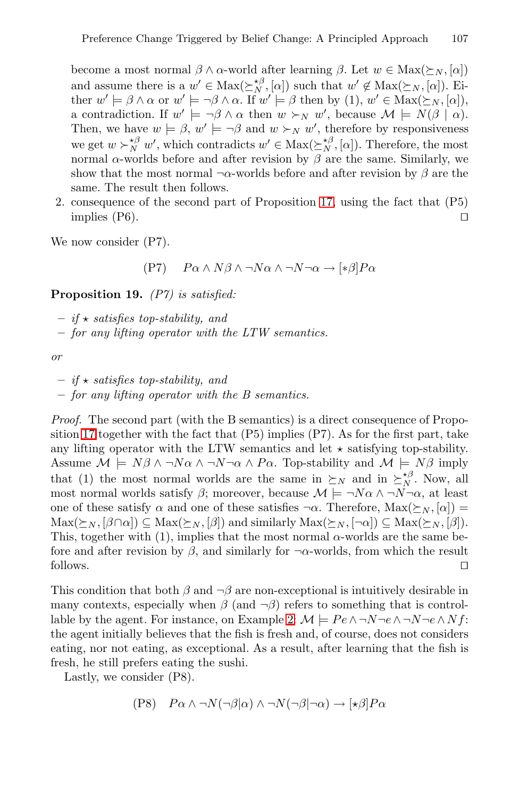become a most normal  $\beta \wedge \alpha$ -world after learning  $\beta$ . Let  $w \in \text{Max}(\succeq_N, [\alpha])$ and assume there is a  $w' \in \text{Max}(\geq_N^{\neq \beta}, [\alpha])$  $w' \in \text{Max}(\geq_N^{\neq \beta}, [\alpha])$  $w' \in \text{Max}(\geq_N^{\neq \beta}, [\alpha])$  such that  $w' \notin \text{Max}(\geq_N, [\alpha])$ . Either  $w' \models \beta \land \alpha$  or  $w' \models \neg \beta \land \alpha$ . If  $w' \models \beta$  then by (1),  $w' \in Max(\succeq_N, [\alpha]),$ a contradiction. If  $w' \models \neg \beta \land \alpha$  then  $w \succ_N w'$ , because  $\mathcal{M} \models N(\beta \mid \alpha)$ . Then, we have  $w \models \beta$ ,  $w' \models \neg \beta$  and  $w \succ_N w'$ , therefore by responsiveness we get  $w \succ_N^{\kappa \beta} w'$ , which contradicts  $w' \in \text{Max}(\succeq_N^{\kappa \beta}, [\alpha])$ . Therefore, the most normal α-worlds before and after revision by  $\beta$  are the same. Similarly, we show that the most normal  $\neg \alpha$ -worlds before and after revision by  $\beta$  are the same. The result then follows.

2. consequence of the second part of Proposition 17, using the fact that (P5) implies  $(P6)$ .

We now consider (P7).

 $(P7)$   $P_{\alpha} \wedge N_{\beta} \wedge \neg N_{\alpha} \wedge \neg N_{\neg \alpha} \rightarrow [\ast \beta] P_{\alpha}$ 

**Proposition 19.** *(P7) is satisfied:*

- **–** *if satisfies top-stability, and*
- **–** *for any lifting operator with the LTW semantics.*

*or*

- **–** *if satisfies top-stability, and*
- **–** *for any lifting operator with the B semantics.*

*Proof.* The second part (with the B semantics) is a direct consequence of Proposition 17 together with the fact that  $(P5)$  implies  $(P7)$ . As for the first part, take any lifting operator with the LTW semantics and let  $\star$  satisfying top-stability. Assume  $\mathcal{M} \models N\beta \land \neg N\alpha \land \neg N\neg \alpha \land Pa$ . Top-stability and  $\mathcal{M} \models N\beta$  imply that (1) the most normal worlds are the same in  $\succeq_N$  and in  $\succeq_N^{\kappa,\beta}$ . Now, all most normal worlds satisfy  $\beta$ ; moreover, because  $\mathcal{M} \models \neg N\alpha \land \neg N\neg \alpha$ , at least one of these satisfy  $\alpha$  an[d o](#page-2-0)ne of these satisfies  $\neg \alpha$ . Therefore,  $\text{Max}(\succeq_N, [\alpha]) =$  $\text{Max}(\succeq_N, [\beta \cap \alpha]) \subseteq \text{Max}(\succeq_N, [\beta])$  and similarly  $\text{Max}(\succeq_N, [\neg \alpha]) \subseteq \text{Max}(\succeq_N, [\beta]).$ This, together with (1), implies that the most normal  $\alpha$ -worlds are the same before and after revision by  $\beta$ , and similarly for  $\neg \alpha$ -worlds, from which the result follows.

This condition that both  $\beta$  and  $\neg \beta$  are non-exceptional is intuitively desirable in many contexts, especially when  $\beta$  (and  $\neg \beta$ ) refers to something that is controllable by the agent. For instance, on Example 2:  $\mathcal{M} \models Pe \land \neg N \neg e \land \neg N \neg e \land Nf$ : the agent initially believes that the fish is fresh and, of course, does not considers eating, nor not eating, as exceptional. As a result, after learning that the fish is fresh, he still prefers eating the sushi.

Lastly, we consider (P8).

$$
(P8) \quad P\alpha \wedge \neg N(\neg \beta|\alpha) \wedge \neg N(\neg \beta|\neg \alpha) \rightarrow [\star \beta]P\alpha
$$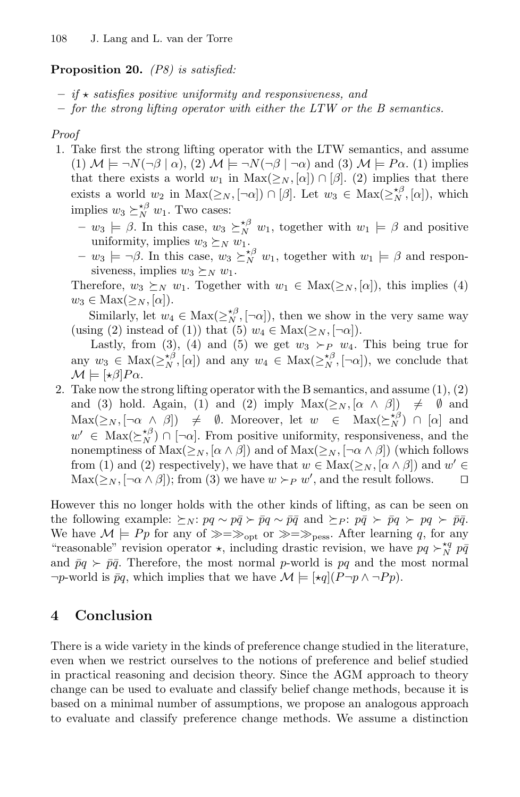## **Proposition 20.** *(P8) is satisfied:*

- **–** *if satisfies positive uniformity and responsiveness, and*
- **–** *for the strong lifting operator with either the LTW or the B semantics.*

#### *Proof*

- 1. Take first the strong lifting operator with the LTW semantics, and assume (1)  $\mathcal{M} \models \neg N(\neg \beta \mid \alpha)$ , (2)  $\mathcal{M} \models \neg N(\neg \beta \mid \neg \alpha)$  and (3)  $\mathcal{M} \models P\alpha$ . (1) implies that there exists a world  $w_1$  in  $\text{Max}(\geq_N, [\alpha]) \cap [\beta]$ . (2) implies that there exists a world w<sub>2</sub> in Max( $\geq_N$ ,  $[\neg \alpha]$ )  $\cap$  [ $\beta$ ]. Let  $w_3 \in \text{Max}(\geq_N^{*\beta}, [\alpha])$ , which implies  $w_3 \succeq_N^{\star \beta} w_1$ . Two cases:
	- $w_3 \models \beta$ . In this case,  $w_3 \succeq_N^{*\beta} w_1$ , together with  $w_1 \models \beta$  and positive uniformity, implies  $w_3 \succeq_N w_1$ .
	- $-w_3 \models \neg \beta$ . In this case,  $w_3 \succeq_N^{\star \beta} w_1$ , together with  $w_1 \models \beta$  and responsiveness, implies  $w_3 \succeq_N w_1$ .

Therefore,  $w_3 \succeq_N w_1$ . Together with  $w_1 \in \text{Max}(\geq_N, [\alpha])$ , this implies (4)  $w_3 \in \text{Max}(\geq_N, [\alpha]).$ 

Similarly, let  $w_4 \in \text{Max}(\geq_N^{\star \beta}, [\neg \alpha]),$  then we show in the very same way (using (2) instead of (1)) that (5)  $w_4 \in \text{Max}(\geq_N, \lceil -\alpha \rceil)$ .

Lastly, from (3), (4) and (5) we get  $w_3 \succ_P w_4$ . This being true for any  $w_3 \in \text{Max}(\geq^{\star\beta}_{N}, [\alpha])$  and any  $w_4 \in \text{Max}(\geq^{\star\beta}_{N}, [\neg \alpha])$ , we conclude that  $\mathcal{M} \models [\star \beta] P \alpha.$ 

2. Take now the strong lifting operator with the B semantics, and assume  $(1), (2)$ and (3) hold. Again, (1) and (2) imply  $Max(\geq_N, [\alpha \land \beta]) \neq \emptyset$  and  $\text{Max}(\geq_N, [\neg \alpha \land \beta]) \neq \emptyset$ . Moreover, let  $w \in \text{Max}(\geq_N^{\star \beta}) \cap [\alpha]$  and  $w' \in \text{Max}(\geq_N^{\star \beta}) \cap [\neg \alpha]$ . From positive uniformity, responsiveness, and the nonemptiness of  $Max(\geq_N, [\alpha \wedge \beta])$  and of  $Max(\geq_N, [\neg \alpha \wedge \beta])$  (which follows from (1) and (2) respectively), we have that  $w \in \text{Max}(\geq_N, [\alpha \wedge \beta])$  and  $w' \in$  $\text{Max}(\geq_N, [\neg \alpha \wedge \beta]); \text{ from (3) we have } w \succ_P w'$ , and the result follows.  $\Box$ 

However this no longer holds with the other kinds of lifting, as can be seen on the following example:  $\succeq_N$ :  $pq \sim p\bar{q} \succ \bar{p}q \sim \bar{p}\bar{q}$  and  $\succeq_P$ :  $p\bar{q} \succ \bar{p}q \succ pq \succ \bar{p}\bar{q}$ . We have  $\mathcal{M} \models P_p$  for any of  $\gg \gg \gg$ <sub>pess</sub>. After learning q, for any "reasonable" revision operator  $\star$ , including drastic revision, we have  $pq \succ_N^{*q} p\bar{q}$ and  $\bar{p}q \succ \bar{p}\bar{q}$ . Therefore, the most normal p-world is pq and the most normal  $\neg p$ -world is  $\bar{p}q$ , which implies that we have  $\mathcal{M} \models [\star q](P \neg p \land \neg P p)$ .

# **4 Conclusion**

There is a wide variety in the kinds of preference change studied in the literature, even when we restrict ourselves to the notions of preference and belief studied in practical reasoning and decision theory. Since the AGM approach to theory change can be used to evaluate and classify belief change methods, because it is based on a minimal number of assumptions, we propose an analogous approach to evaluate and classify preference change methods. We assume a distinction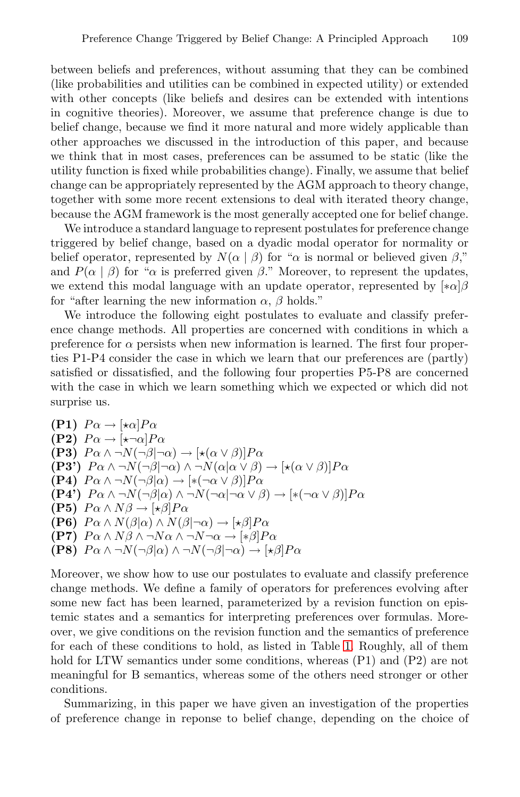between beliefs and preferences, without assuming that they can be combined (like probabilities and utilities can be combined in expected utility) or extended with other concepts (like beliefs and desires can be extended with intentions in cognitive theories). Moreover, we assume that preference change is due to belief change, because we find it more natural and more widely applicable than other approaches we discussed in the introduction of this paper, and because we think that in most cases, preferences can be assumed to be static (like the utility function is fixed while probabilities change). Finally, we assume that belief change can be appropriately represented by the AGM approach to theory change, together with some more recent extensions to deal with iterated theory change, because the AGM framework is the most generally accepted one for belief change.

We introduce a standard language to represent postulates for preference change triggered by belief change, based on a dyadic modal operator for normality or belief operator, represented by  $N(\alpha \mid \beta)$  for " $\alpha$  is normal or believed given  $\beta$ ," and  $P(\alpha | \beta)$  for " $\alpha$  is preferred given  $\beta$ ." Moreover, to represent the updates, we extend this modal language with an update operator, represented by  $[*\alpha]\beta$ for "after learning the new information  $\alpha$ ,  $\beta$  holds."

We introduce the following eight postulates to evaluate and classify preference change methods. All properties are concerned with conditions in which a preference for  $\alpha$  persists when new information is learned. The first four properties P1-P4 consider the case in which we learn that our preferences are (partly) satisfied or dissatisfied, and the following four properties P5-P8 are concerned with the case in which we learn something which we expected or which did not surprise us.

**(P1)**  $P\alpha \rightarrow [\star \alpha]P\alpha$ **(P2)**  $P\alpha \rightarrow |\star \neg \alpha| P\alpha$ **(P3)**  $P \alpha \wedge \neg N(\neg \beta | \neg \alpha) \rightarrow [\star(\alpha \vee \beta)] P \alpha$ **(P3')**  $P\alpha \wedge \neg N(\neg \beta | \neg \alpha) \wedge \neg N(\alpha | \alpha \vee \beta) \rightarrow [\star(\alpha \vee \beta)]P\alpha$ **(P4)**  $P\alpha \wedge \neg N(\neg \beta|\alpha) \rightarrow [*(\neg \alpha \vee \beta)]P\alpha$ **(P4')**  $P \alpha \wedge \neg N(\neg \beta | \alpha) \wedge \neg N(\neg \alpha | \neg \alpha \vee \beta) \rightarrow [*(\neg \alpha \vee \beta)]P \alpha$ **(P5)**  $P \alpha \wedge N \beta \rightarrow [\star \beta] P \alpha$ **(P6)**  $P\alpha \wedge N(\beta|\alpha) \wedge N(\beta|\neg \alpha) \rightarrow [\star \beta]P\alpha$ **(P7)**  $P \alpha \wedge N \beta \wedge \neg N \alpha \wedge \neg N \neg \alpha \rightarrow [*\beta] P \alpha$ **(P8)**  $P\alpha \wedge \neg N(\neg \beta|\alpha) \wedge \neg N(\neg \beta|\neg \alpha) \rightarrow [\star \beta]P\alpha$ 

Moreover, we show how to use our postulates to evaluate and classify preference change methods. We define a family of operators for preferences evolving after some new fact has been learned, parameterized by a revision function on epistemic states and a semantics for interpreting preferences over formulas. Moreover, we give conditions on the revision function and the semantics of preference for each of these conditions to hold, as listed in Table 1. Roughly, all of them hold for LTW semantics under some conditions, whereas  $(P1)$  and  $(P2)$  are not meaningful for B semantics, whereas some of the others need stronger or other conditions.

Summarizing, in this paper we have given an investigation of the properties of preference change in reponse to belief change, depending on the choice of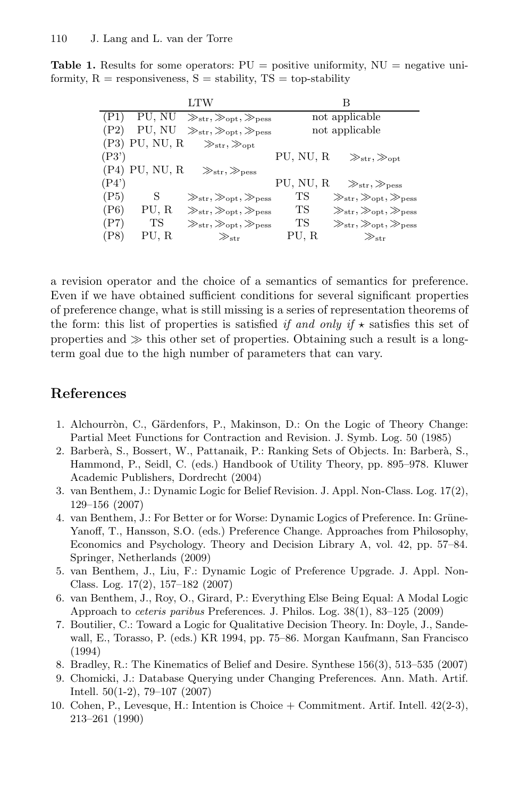**Table 1.** Results for some operators:  $PU =$  positive uniformity,  $NU =$  negative uniformity,  $R =$  responsiveness,  $S =$  stability,  $TS =$  top-stability

<span id="page-24-7"></span>

|       |                  | LTW                                                     | В                                                             |
|-------|------------------|---------------------------------------------------------|---------------------------------------------------------------|
| (P1)  |                  | PU, NU $\gg_{str}, \gg_{opt}, \gg_{pess}$               | not applicable                                                |
| (P2)  | PU, NU           | $\gg_{str}, \gg_{opt}, \gg_{pess}$                      | not applicable                                                |
|       | $(P3)$ PU, NU, R | $\gg_{\rm str}, \gg_{\rm opt}$                          |                                                               |
| (P3') |                  |                                                         | PU, NU, R<br>$\gg_{\text{str}}, \gg_{\text{opt}}$             |
|       | $(P4)$ PU, NU, R | $\gg_{\rm str}, \gg_{\rm pess}$                         |                                                               |
| (P4') |                  |                                                         | PU, NU, R<br>$\gg_{\rm str}, \gg_{\rm pess}$                  |
| (P5)  | S                | $\gg_{\text{str}}, \gg_{\text{opt}}, \gg_{\text{pess}}$ | TS<br>$\gg_{\text{str}}, \gg_{\text{opt}}, \gg_{\text{pess}}$ |
| (P6)  | PU, R            | $\gg_{\rm str}, \gg_{\rm opt}, \gg_{\rm pess}$          | TS<br>$\gg_{str}, \gg_{opt}, \gg_{pess}$                      |
| (P7)  | TS               | $\gg_{\text{str}}, \gg_{\text{opt}}, \gg_{\text{pess}}$ | ТS<br>$\gg_{\text{str}}, \gg_{\text{opt}}, \gg_{\text{pess}}$ |
| (P8)  | PU. R            | $\gg_{\rm str}$                                         | PU. R<br>$\gg_{\text{str}}$                                   |

a revision operator and the choice of a semantics of semantics for preference. Even if we have obtained sufficient conditions for several significant properties of preference change, what is still missing is a series of representation theorems of the form: this list of properties is satisfied *if and only if*  $\star$  satisfies this set of properties and  $\gg$  this other set of properties. Obtaining such a result is a longterm goal due to the high number of parameters that can vary.

# **References**

- 1. Alchourròn, C., Gärdenfors, P., Makinson, D.: On the Logic of Theory Change: Partial Meet Functions for Contraction and Revision. J. Symb. Log. 50 (1985)
- <span id="page-24-4"></span>2. Barberà, S., Bossert, W., Pattanaik, P.: Ranking Sets of Objects. In: Barberà, S., Hammond, P., Seidl, C. (eds.) Handbook of Utility Theory, pp. 895–978. Kluwer Academic Publishers, Dordrecht (2004)
- <span id="page-24-6"></span>3. van Benthem, J.: Dynamic Logic for Belief Revision. J. Appl. Non-Class. Log. 17(2), 129–156 (2007)
- <span id="page-24-1"></span>4. van Benthem, J.: For Better or for Worse: Dynamic Logics of Preference. In: Grüne-Yanoff, T., Hansson, S.O. (eds.) Preference Change. Approaches from Philosophy, Economics and Psychology. Theory and Decision Library A, vol. 42, pp. 57–84. Springer, Netherlands (2009)
- <span id="page-24-5"></span>5. van Benthem, J., Liu, F.: Dynamic Logic of Preference Upgrade. J. Appl. Non-Class. Log. 17(2), 157–182 (2007)
- 6. van Benthem, J., Roy, O., Girard, P.: Everything Else Being Equal: A Modal Logic Approach to *ceteris paribus* Preferences. J. Philos. Log. 38(1), 83–125 (2009)
- <span id="page-24-3"></span>7. Boutilier, C.: Toward a Logic for Qualitative Decision Theory. In: Doyle, J., Sandewall, E., Torasso, P. (eds.) KR 1994, pp. 75–86. Morgan Kaufmann, San Francisco (1994)
- <span id="page-24-0"></span>8. Bradley, R.: The Kinematics of Belief and Desire. Synthese 156(3), 513–535 (2007)
- 9. Chomicki, J.: Database Querying under Changing Preferences. Ann. Math. Artif. Intell. 50(1-2), 79–107 (2007)
- <span id="page-24-2"></span>10. Cohen, P., Levesque, H.: Intention is Choice + Commitment. Artif. Intell. 42(2-3), 213–261 (1990)